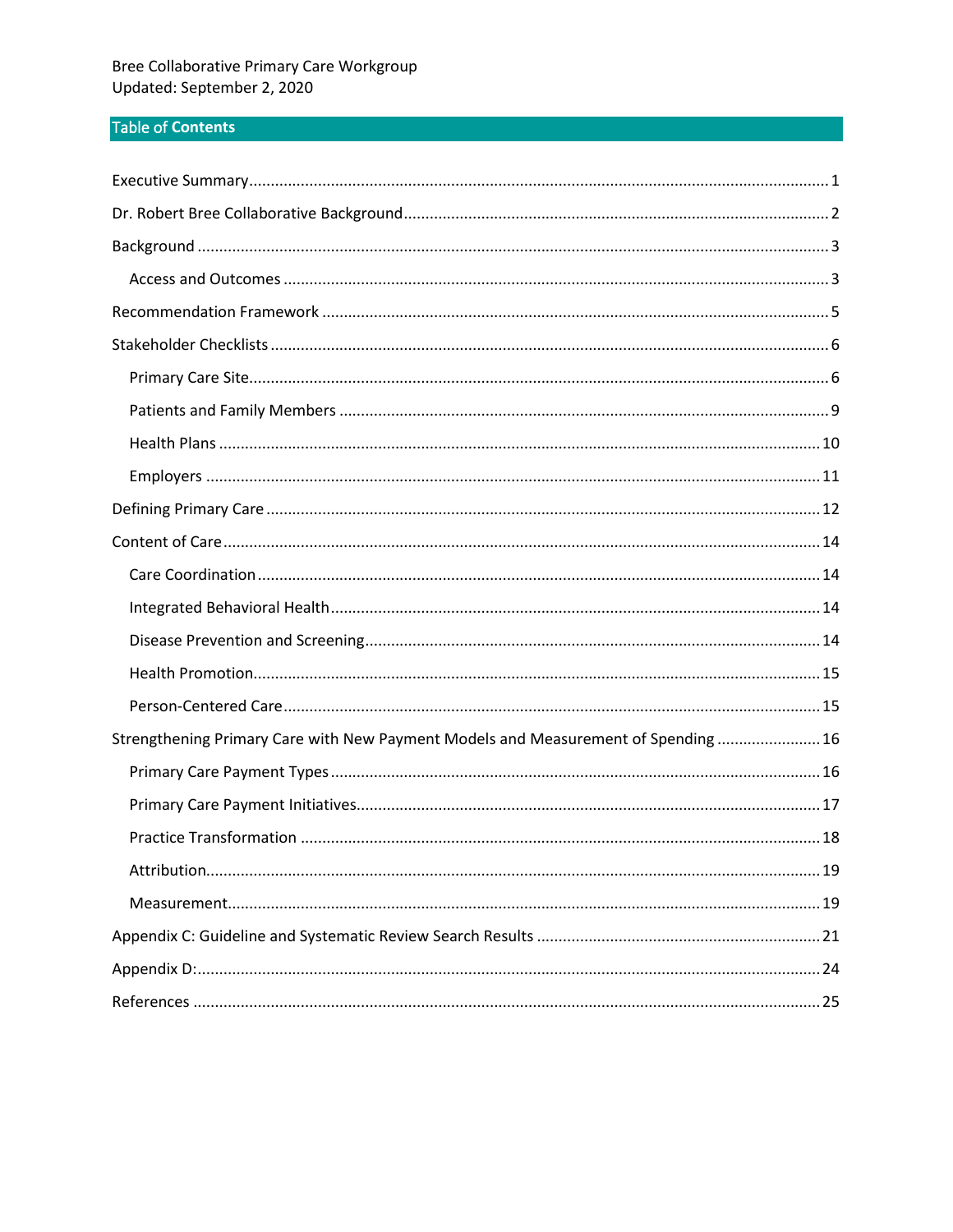# Table of Contents

| Strengthening Primary Care with New Payment Models and Measurement of Spending  16 |
|------------------------------------------------------------------------------------|
|                                                                                    |
|                                                                                    |
|                                                                                    |
|                                                                                    |
|                                                                                    |
|                                                                                    |
|                                                                                    |
|                                                                                    |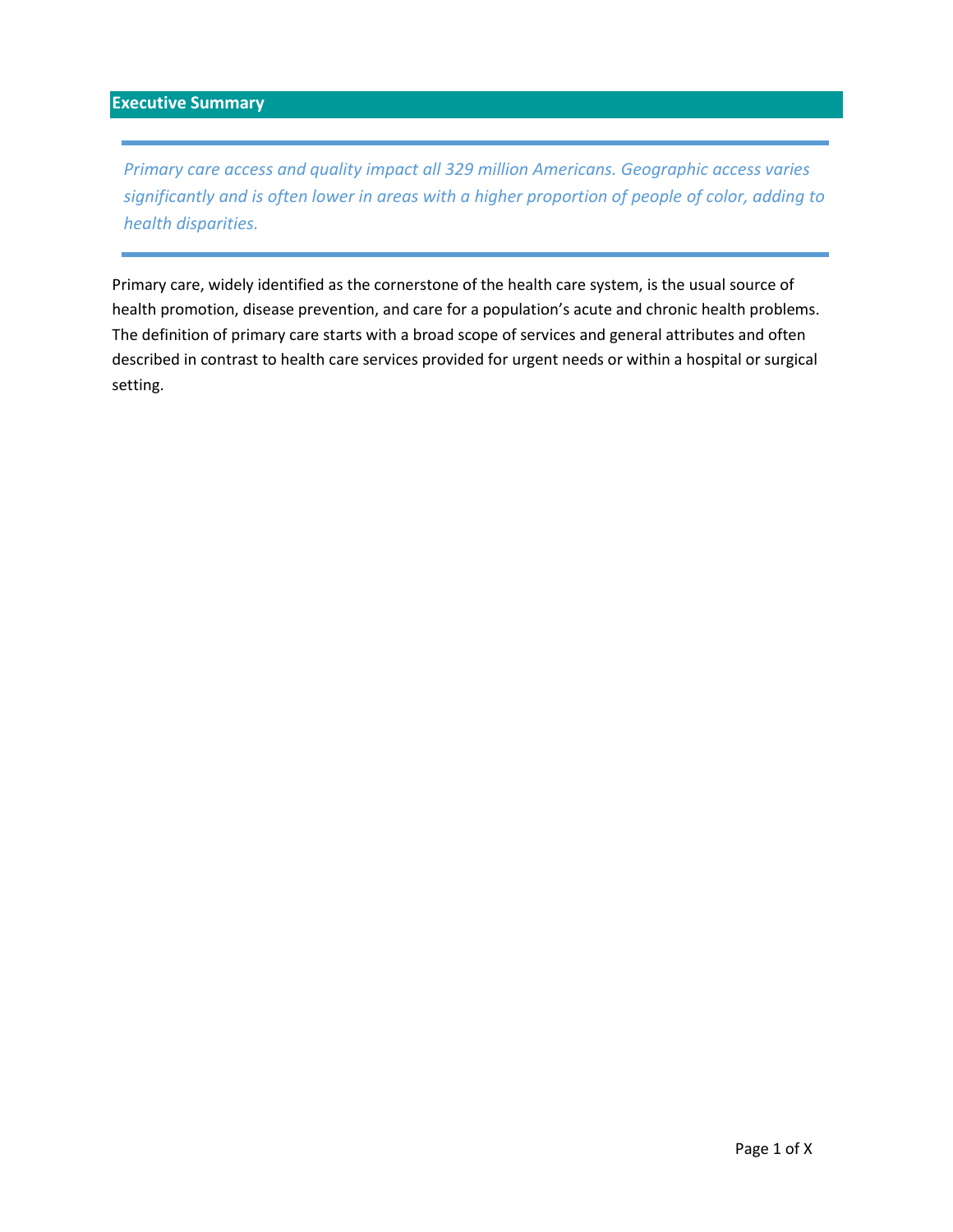## <span id="page-1-0"></span>**Executive Summary**

*Primary care access and quality impact all 329 million Americans. Geographic access varies significantly and is often lower in areas with a higher proportion of people of color, adding to health disparities.* 

Primary care, widely identified as the cornerstone of the health care system, is the usual source of health promotion, disease prevention, and care for a population's acute and chronic health problems. The definition of primary care starts with a broad scope of services and general attributes and often described in contrast to health care services provided for urgent needs or within a hospital or surgical setting.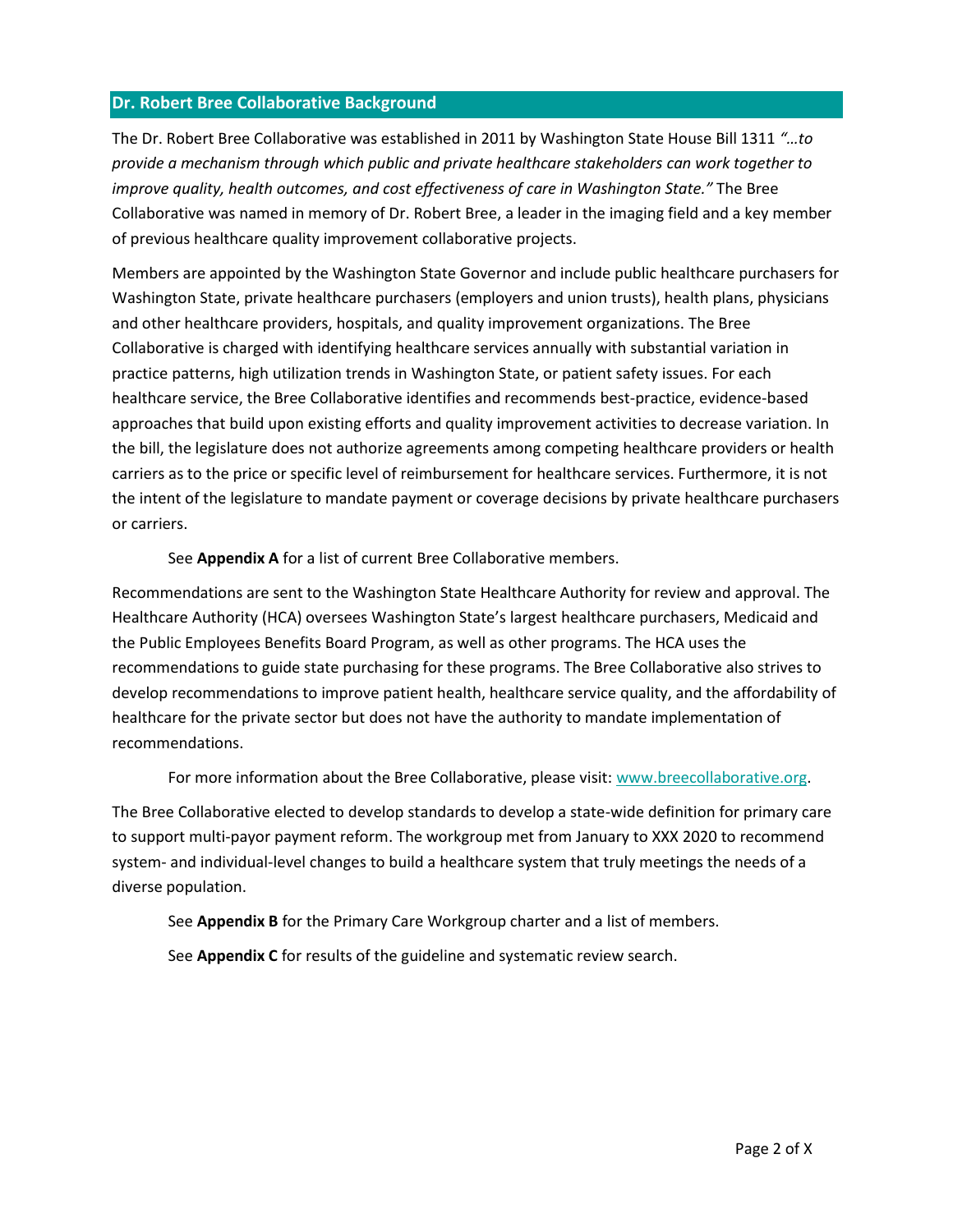#### <span id="page-2-0"></span>**Dr. Robert Bree Collaborative Background**

The Dr. Robert Bree Collaborative was established in 2011 by Washington State House Bill 1311 *"…to provide a mechanism through which public and private healthcare stakeholders can work together to improve quality, health outcomes, and cost effectiveness of care in Washington State."* The Bree Collaborative was named in memory of Dr. Robert Bree, a leader in the imaging field and a key member of previous healthcare quality improvement collaborative projects.

Members are appointed by the Washington State Governor and include public healthcare purchasers for Washington State, private healthcare purchasers (employers and union trusts), health plans, physicians and other healthcare providers, hospitals, and quality improvement organizations. The Bree Collaborative is charged with identifying healthcare services annually with substantial variation in practice patterns, high utilization trends in Washington State, or patient safety issues. For each healthcare service, the Bree Collaborative identifies and recommends best-practice, evidence-based approaches that build upon existing efforts and quality improvement activities to decrease variation. In the bill, the legislature does not authorize agreements among competing healthcare providers or health carriers as to the price or specific level of reimbursement for healthcare services. Furthermore, it is not the intent of the legislature to mandate payment or coverage decisions by private healthcare purchasers or carriers.

See **Appendix A** for a list of current Bree Collaborative members.

Recommendations are sent to the Washington State Healthcare Authority for review and approval. The Healthcare Authority (HCA) oversees Washington State's largest healthcare purchasers, Medicaid and the Public Employees Benefits Board Program, as well as other programs. The HCA uses the recommendations to guide state purchasing for these programs. The Bree Collaborative also strives to develop recommendations to improve patient health, healthcare service quality, and the affordability of healthcare for the private sector but does not have the authority to mandate implementation of recommendations.

For more information about the Bree Collaborative, please visit: [www.breecollaborative.org.](http://www.breecollaborative.org/)

The Bree Collaborative elected to develop standards to develop a state-wide definition for primary care to support multi-payor payment reform. The workgroup met from January to XXX 2020 to recommend system- and individual-level changes to build a healthcare system that truly meetings the needs of a diverse population.

See **Appendix B** for the Primary Care Workgroup charter and a list of members.

See **Appendix C** for results of the guideline and systematic review search.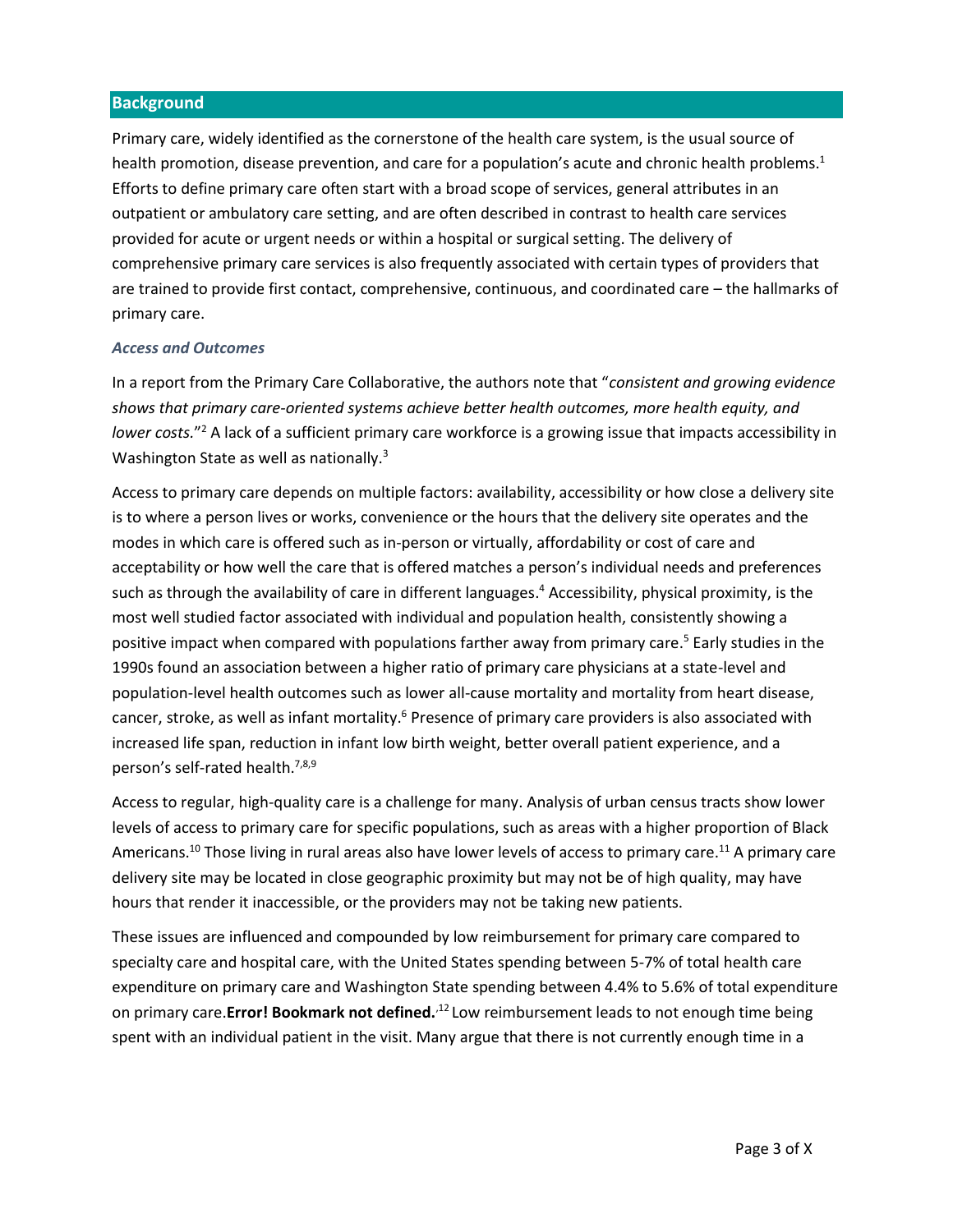#### <span id="page-3-0"></span>**Background**

Primary care, widely identified as the cornerstone of the health care system, is the usual source of health promotion, disease prevention, and care for a population's acute and chronic health problems.<sup>1</sup> Efforts to define primary care often start with a broad scope of services, general attributes in an outpatient or ambulatory care setting, and are often described in contrast to health care services provided for acute or urgent needs or within a hospital or surgical setting. The delivery of comprehensive primary care services is also frequently associated with certain types of providers that are trained to provide first contact, comprehensive, continuous, and coordinated care – the hallmarks of primary care.

#### <span id="page-3-1"></span>*Access and Outcomes*

In a report from the Primary Care Collaborative, the authors note that "*consistent and growing evidence shows that primary care-oriented systems achieve better health outcomes, more health equity, and lower costs.*" <sup>2</sup> A lack of a sufficient primary care workforce is a growing issue that impacts accessibility in Washington State as well as nationally.<sup>3</sup>

Access to primary care depends on multiple factors: availability, accessibility or how close a delivery site is to where a person lives or works, convenience or the hours that the delivery site operates and the modes in which care is offered such as in-person or virtually, affordability or cost of care and acceptability or how well the care that is offered matches a person's individual needs and preferences such as through the availability of care in different languages. <sup>4</sup> Accessibility, physical proximity, is the most well studied factor associated with individual and population health, consistently showing a positive impact when compared with populations farther away from primary care. <sup>5</sup> Early studies in the 1990s found an association between a higher ratio of primary care physicians at a state-level and population-level health outcomes such as lower all-cause mortality and mortality from heart disease, cancer, stroke, as well as infant mortality.<sup>6</sup> Presence of primary care providers is also associated with increased life span, reduction in infant low birth weight, better overall patient experience, and a person's self-rated health.<sup>7,8,9</sup>

Access to regular, high-quality care is a challenge for many. Analysis of urban census tracts show lower levels of access to primary care for specific populations, such as areas with a higher proportion of Black Americans.<sup>10</sup> Those living in rural areas also have lower levels of access to primary care.<sup>11</sup> A primary care delivery site may be located in close geographic proximity but may not be of high quality, may have hours that render it inaccessible, or the providers may not be taking new patients.

<span id="page-3-2"></span>These issues are influenced and compounded by low reimbursement for primary care compared to specialty care and hospital care, with the United States spending between 5-7% of total health care expenditure on primary care and Washington State spending between 4.4% to 5.6% of total expenditure on primary care.**Error! Bookmark not defined.**<sup>12</sup> Low reimbursement leads to not enough time being spent with an individual patient in the visit. Many argue that there is not currently enough time in a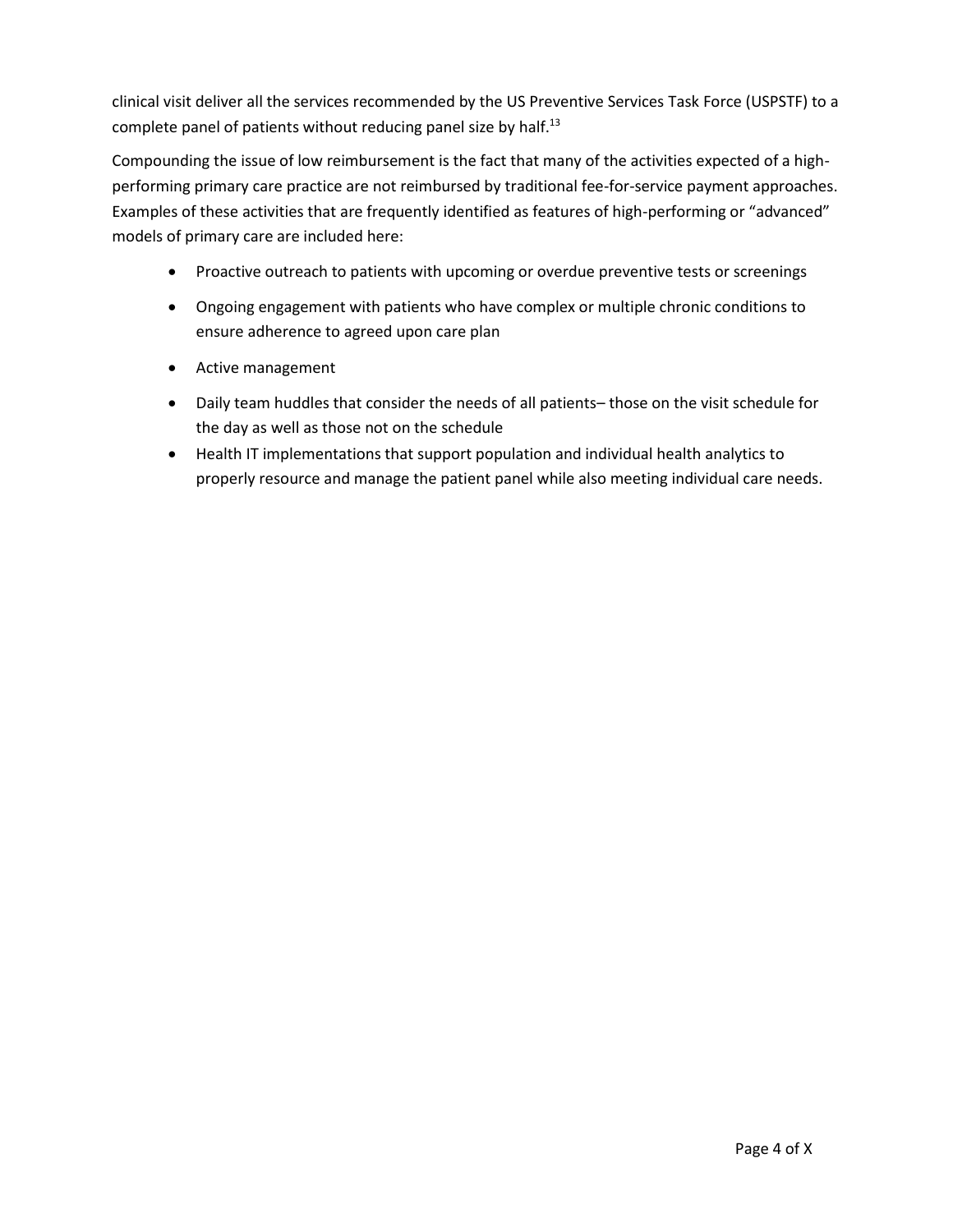clinical visit deliver all the services recommended by the US Preventive Services Task Force (USPSTF) to a complete panel of patients without reducing panel size by half.<sup>13</sup>

Compounding the issue of low reimbursement is the fact that many of the activities expected of a highperforming primary care practice are not reimbursed by traditional fee-for-service payment approaches. Examples of these activities that are frequently identified as features of high-performing or "advanced" models of primary care are included here:

- Proactive outreach to patients with upcoming or overdue preventive tests or screenings
- Ongoing engagement with patients who have complex or multiple chronic conditions to ensure adherence to agreed upon care plan
- $\bullet$  Active management
- Daily team huddles that consider the needs of all patients– those on the visit schedule for the day as well as those not on the schedule
- Health IT implementations that support population and individual health analytics to properly resource and manage the patient panel while also meeting individual care needs.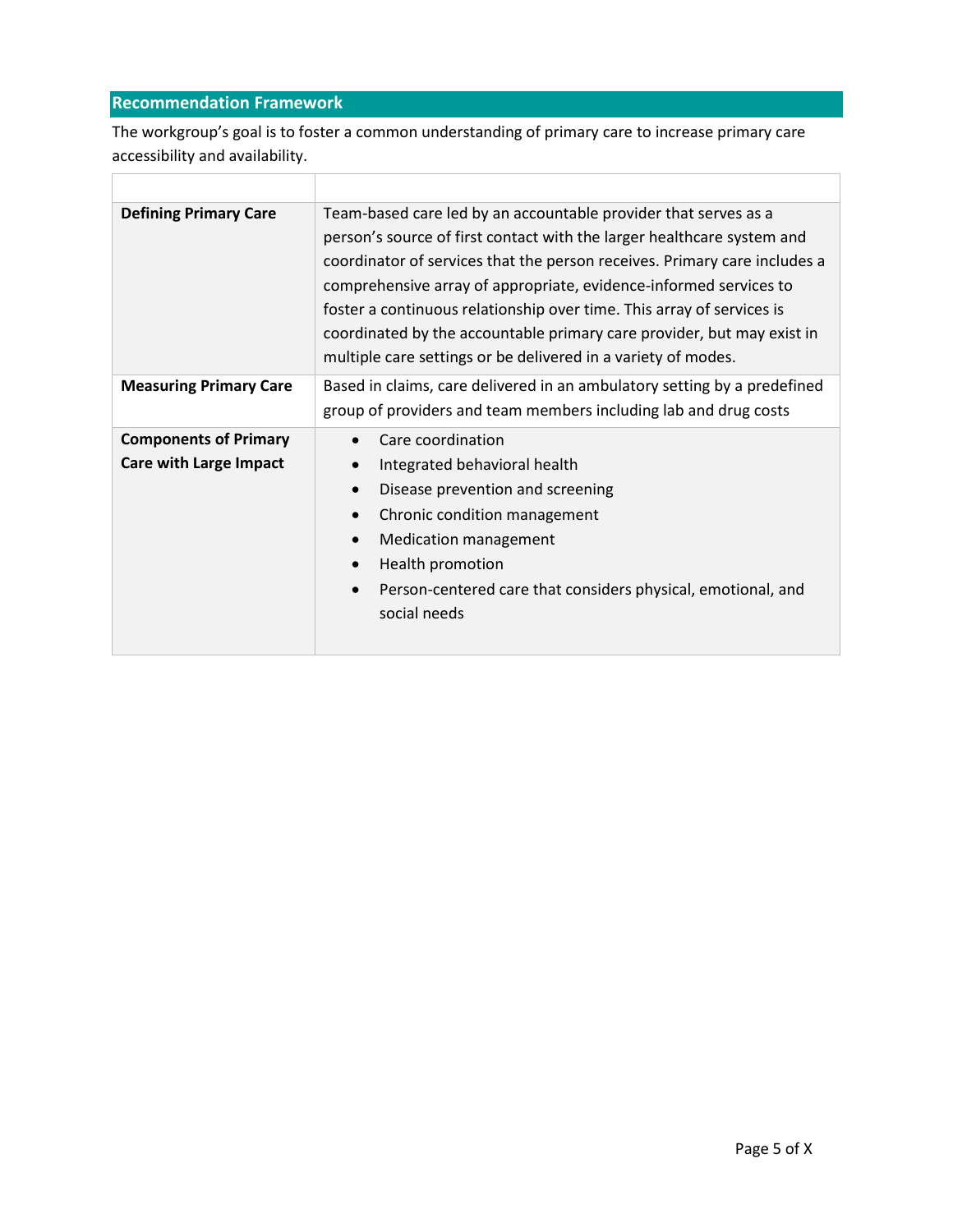# <span id="page-5-0"></span>**Recommendation Framework**

Г

The workgroup's goal is to foster a common understanding of primary care to increase primary care accessibility and availability.

| <b>Defining Primary Care</b>                                  | Team-based care led by an accountable provider that serves as a<br>person's source of first contact with the larger healthcare system and<br>coordinator of services that the person receives. Primary care includes a<br>comprehensive array of appropriate, evidence-informed services to<br>foster a continuous relationship over time. This array of services is<br>coordinated by the accountable primary care provider, but may exist in<br>multiple care settings or be delivered in a variety of modes. |
|---------------------------------------------------------------|-----------------------------------------------------------------------------------------------------------------------------------------------------------------------------------------------------------------------------------------------------------------------------------------------------------------------------------------------------------------------------------------------------------------------------------------------------------------------------------------------------------------|
| <b>Measuring Primary Care</b>                                 | Based in claims, care delivered in an ambulatory setting by a predefined<br>group of providers and team members including lab and drug costs                                                                                                                                                                                                                                                                                                                                                                    |
| <b>Components of Primary</b><br><b>Care with Large Impact</b> | Care coordination<br>Integrated behavioral health<br>Disease prevention and screening<br>Chronic condition management<br><b>Medication management</b><br>Health promotion<br>Person-centered care that considers physical, emotional, and<br>social needs                                                                                                                                                                                                                                                       |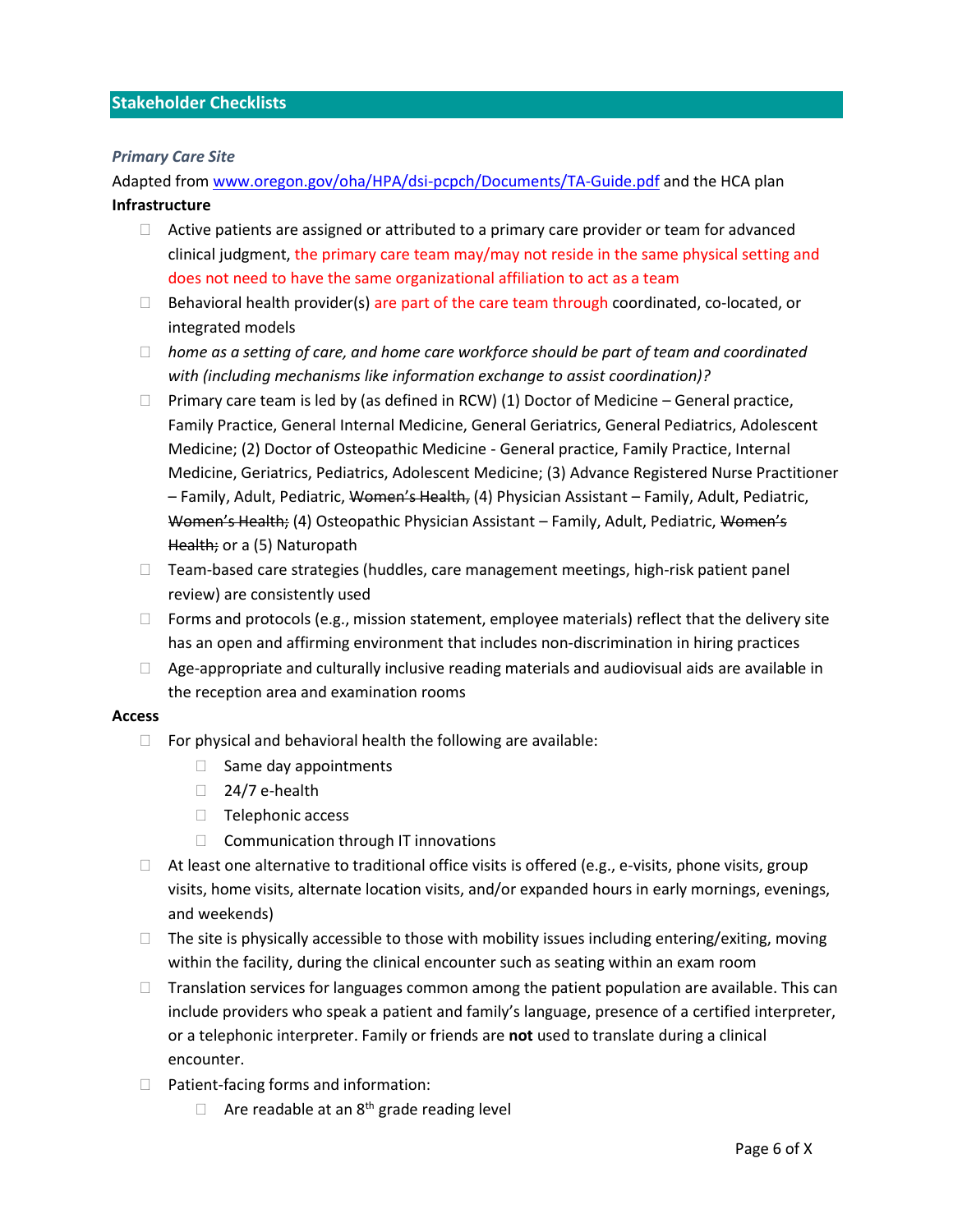#### <span id="page-6-0"></span>**Stakeholder Checklists**

#### <span id="page-6-1"></span>*Primary Care Site*

Adapted from [www.oregon.gov/oha/HPA/dsi-pcpch/Documents/TA-Guide.pdf](http://www.oregon.gov/oha/HPA/dsi-pcpch/Documents/TA-Guide.pdf) and the HCA plan **Infrastructure**

- $\Box$  Active patients are assigned or attributed to a primary care provider or team for advanced clinical judgment, the primary care team may/may not reside in the same physical setting and does not need to have the same organizational affiliation to act as a team
- $\Box$  Behavioral health provider(s) are part of the care team through coordinated, co-located, or integrated models
- *home as a setting of care, and home care workforce should be part of team and coordinated with (including mechanisms like information exchange to assist coordination)?*
- $\Box$  Primary care team is led by (as defined in RCW) (1) Doctor of Medicine General practice, Family Practice, General Internal Medicine, General Geriatrics, General Pediatrics, Adolescent Medicine; (2) Doctor of Osteopathic Medicine - General practice, Family Practice, Internal Medicine, Geriatrics, Pediatrics, Adolescent Medicine; (3) Advance Registered Nurse Practitioner – Family, Adult, Pediatric, Women's Health, (4) Physician Assistant – Family, Adult, Pediatric, Women's Health; (4) Osteopathic Physician Assistant – Family, Adult, Pediatric, Women's Health; or a (5) Naturopath
- $\Box$  Team-based care strategies (huddles, care management meetings, high-risk patient panel review) are consistently used
- $\Box$  Forms and protocols (e.g., mission statement, employee materials) reflect that the delivery site has an open and affirming environment that includes non-discrimination in hiring practices
- $\Box$  Age-appropriate and culturally inclusive reading materials and audiovisual aids are available in the reception area and examination rooms

#### **Access**

- $\Box$  For physical and behavioral health the following are available:
	- $\Box$  Same day appointments
	- $\Box$  24/7 e-health
	- $\Box$  Telephonic access
	- $\Box$  Communication through IT innovations
- $\Box$  At least one alternative to traditional office visits is offered (e.g., e-visits, phone visits, group visits, home visits, alternate location visits, and/or expanded hours in early mornings, evenings, and weekends)
- $\Box$  The site is physically accessible to those with mobility issues including entering/exiting, moving within the facility, during the clinical encounter such as seating within an exam room
- $\Box$  Translation services for languages common among the patient population are available. This can include providers who speak a patient and family's language, presence of a certified interpreter, or a telephonic interpreter. Family or friends are **not** used to translate during a clinical encounter.
- $\Box$  Patient-facing forms and information:
	- $\Box$  Are readable at an 8<sup>th</sup> grade reading level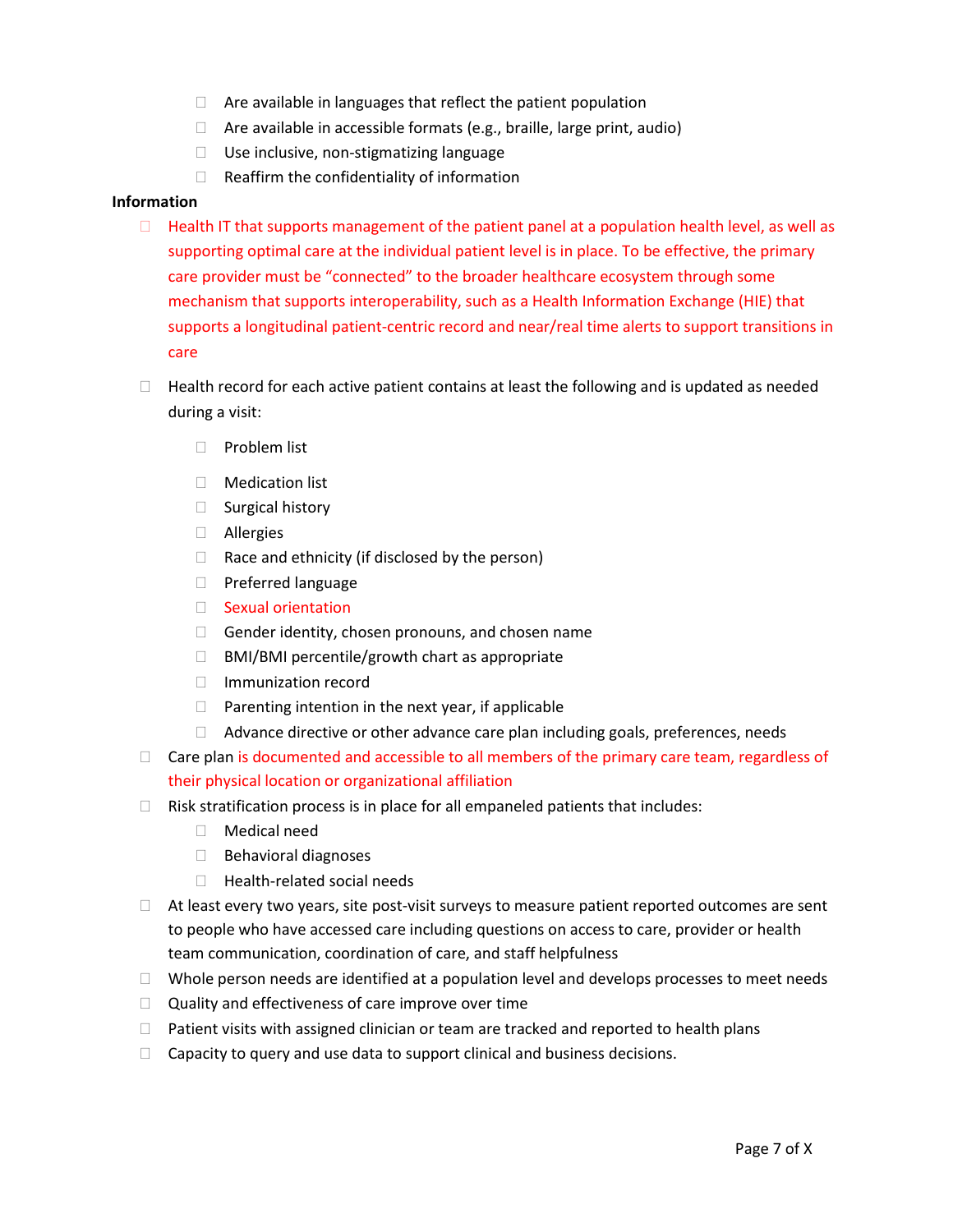- $\Box$  Are available in languages that reflect the patient population
- $\Box$  Are available in accessible formats (e.g., braille, large print, audio)
- □ Use inclusive, non-stigmatizing language
- $\Box$  Reaffirm the confidentiality of information

#### **Information**

- $\Box$  Health IT that supports management of the patient panel at a population health level, as well as supporting optimal care at the individual patient level is in place. To be effective, the primary care provider must be "connected" to the broader healthcare ecosystem through some mechanism that supports interoperability, such as a Health Information Exchange (HIE) that supports a longitudinal patient-centric record and near/real time alerts to support transitions in care
- $\Box$  Health record for each active patient contains at least the following and is updated as needed during a visit:
	- $\Box$  Problem list
	- Medication list
	- □ Surgical history
	- Allergies
	- $\Box$  Race and ethnicity (if disclosed by the person)
	- $\Box$  Preferred language
	- □ Sexual orientation
	- $\Box$  Gender identity, chosen pronouns, and chosen name
	- $\Box$  BMI/BMI percentile/growth chart as appropriate
	- □ Immunization record
	- $\Box$  Parenting intention in the next year, if applicable
	- $\Box$  Advance directive or other advance care plan including goals, preferences, needs
- $\Box$  Care plan is documented and accessible to all members of the primary care team, regardless of their physical location or organizational affiliation
- $\Box$  Risk stratification process is in place for all empaneled patients that includes:
	- Medical need
	- $\Box$  Behavioral diagnoses
	- $\Box$  Health-related social needs
- $\Box$  At least every two years, site post-visit surveys to measure patient reported outcomes are sent to people who have accessed care including questions on access to care, provider or health team communication, coordination of care, and staff helpfulness
- $\Box$  Whole person needs are identified at a population level and develops processes to meet needs
- $\Box$  Quality and effectiveness of care improve over time
- $\Box$  Patient visits with assigned clinician or team are tracked and reported to health plans
- $\Box$  Capacity to query and use data to support clinical and business decisions.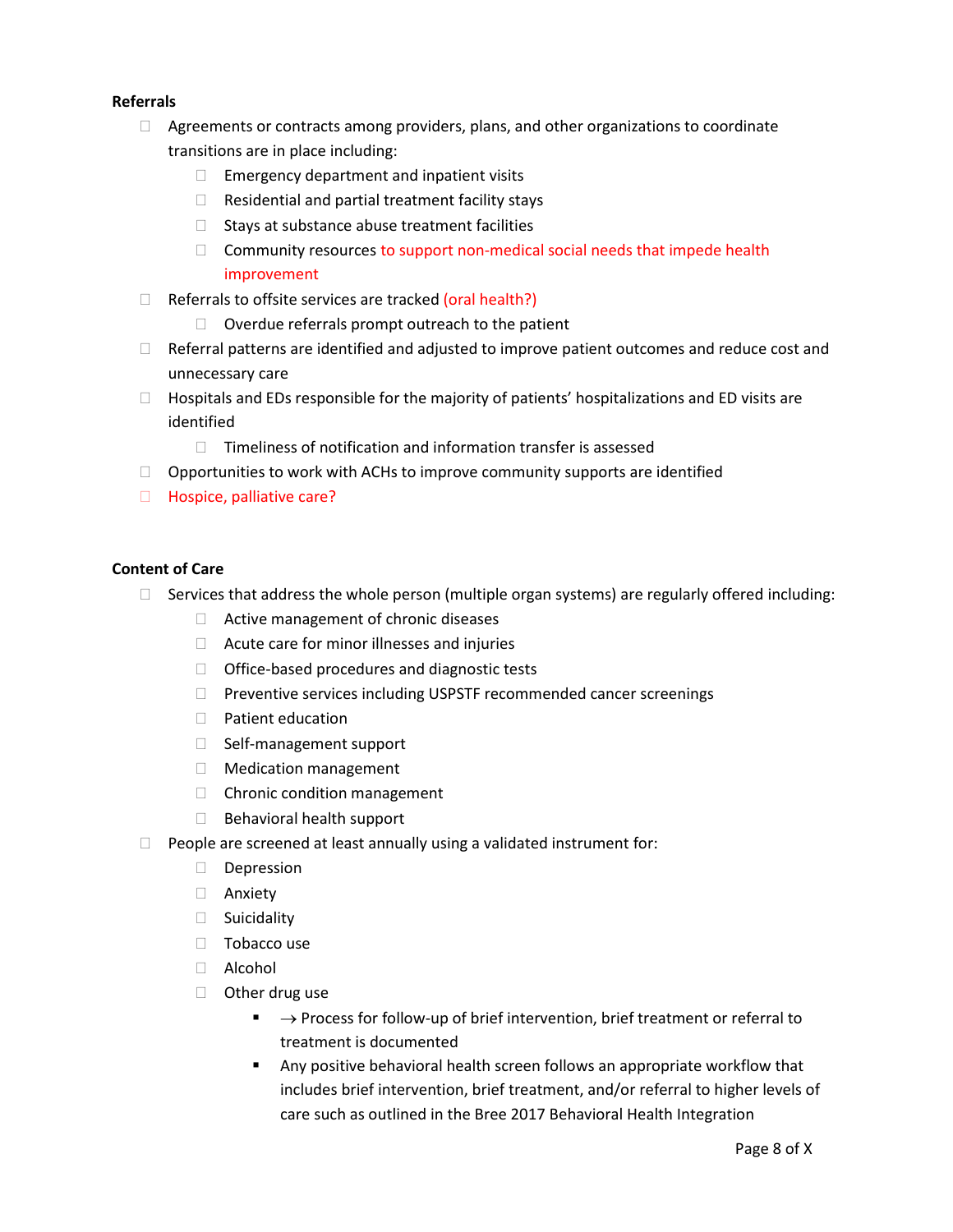#### **Referrals**

- $\Box$  Agreements or contracts among providers, plans, and other organizations to coordinate transitions are in place including:
	- $\Box$  Emergency department and inpatient visits
	- $\Box$  Residential and partial treatment facility stays
	- $\Box$  Stays at substance abuse treatment facilities
	- $\Box$  Community resources to support non-medical social needs that impede health improvement
- $\Box$  Referrals to offsite services are tracked (oral health?)
	- $\Box$  Overdue referrals prompt outreach to the patient
- $\Box$  Referral patterns are identified and adjusted to improve patient outcomes and reduce cost and unnecessary care
- $\Box$  Hospitals and EDs responsible for the majority of patients' hospitalizations and ED visits are identified
	- $\Box$  Timeliness of notification and information transfer is assessed
- $\Box$  Opportunities to work with ACHs to improve community supports are identified
- □ Hospice, palliative care?

#### **Content of Care**

- $\Box$  Services that address the whole person (multiple organ systems) are regularly offered including:
	- □ Active management of chronic diseases
	- $\Box$  Acute care for minor illnesses and injuries
	- $\Box$  Office-based procedures and diagnostic tests
	- $\Box$  Preventive services including USPSTF recommended cancer screenings
	- D Patient education
	- □ Self-management support
	- Medication management
	- □ Chronic condition management
	- $\Box$  Behavioral health support
- $\Box$  People are screened at least annually using a validated instrument for:
	- Depression
	- Anxiety
	- □ Suicidality
	- $\Box$  Tobacco use
	- Alcohol
	- □ Other drug use
		- $\blacksquare$   $\rightarrow$  Process for follow-up of brief intervention, brief treatment or referral to treatment is documented
		- Any positive behavioral health screen follows an appropriate workflow that includes brief intervention, brief treatment, and/or referral to higher levels of care such as outlined in the Bree 2017 Behavioral Health Integration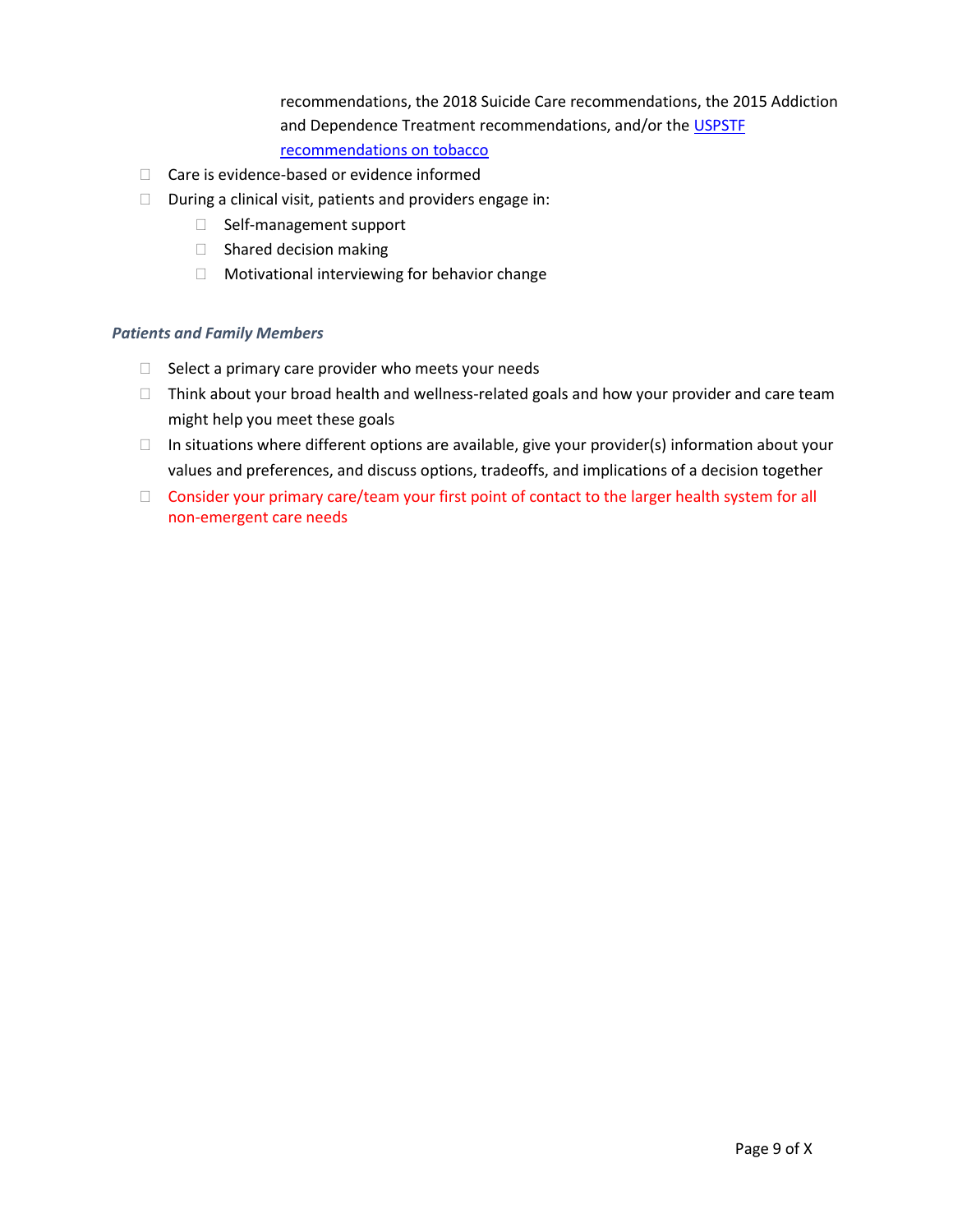recommendations, the 2018 Suicide Care recommendations, the 2015 Addiction and Dependence Treatment recommendations, and/or the [USPSTF](https://www.uspreventiveservicestaskforce.org/uspstf/recommendation/tobacco-use-in-adults-and-pregnant-women-counseling-and-interventions)  [recommendations on tobacco](https://www.uspreventiveservicestaskforce.org/uspstf/recommendation/tobacco-use-in-adults-and-pregnant-women-counseling-and-interventions)

- $\Box$  Care is evidence-based or evidence informed
- $\Box$  During a clinical visit, patients and providers engage in:
	- □ Self-management support
	- $\Box$  Shared decision making
	- $\Box$  Motivational interviewing for behavior change

#### <span id="page-9-0"></span>*Patients and Family Members*

- $\Box$  Select a primary care provider who meets your needs
- $\Box$  Think about your broad health and wellness-related goals and how your provider and care team might help you meet these goals
- $\Box$  In situations where different options are available, give your provider(s) information about your values and preferences, and discuss options, tradeoffs, and implications of a decision together
- □ Consider your primary care/team your first point of contact to the larger health system for all non-emergent care needs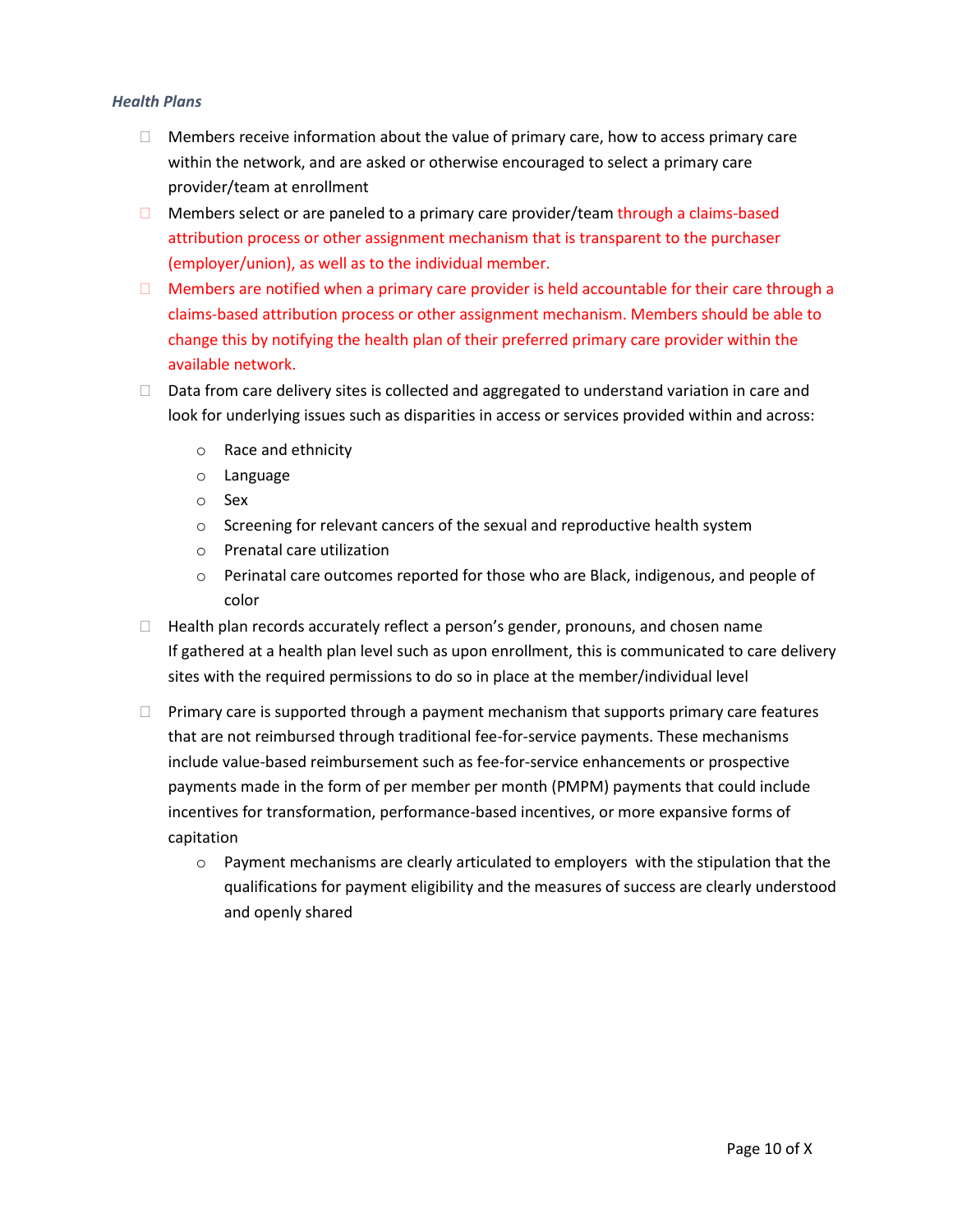#### <span id="page-10-0"></span>*Health Plans*

- $\Box$  Members receive information about the value of primary care, how to access primary care within the network, and are asked or otherwise encouraged to select a primary care provider/team at enrollment
- $\Box$  Members select or are paneled to a primary care provider/team through a claims-based attribution process or other assignment mechanism that is transparent to the purchaser (employer/union), as well as to the individual member.
- $\Box$  Members are notified when a primary care provider is held accountable for their care through a claims-based attribution process or other assignment mechanism. Members should be able to change this by notifying the health plan of their preferred primary care provider within the available network.
- $\Box$  Data from care delivery sites is collected and aggregated to understand variation in care and look for underlying issues such as disparities in access or services provided within and across:
	- o Race and ethnicity
	- o Language
	- o Sex
	- $\circ$  Screening for relevant cancers of the sexual and reproductive health system
	- o Prenatal care utilization
	- $\circ$  Perinatal care outcomes reported for those who are Black, indigenous, and people of color
- $\Box$  Health plan records accurately reflect a person's gender, pronouns, and chosen name If gathered at a health plan level such as upon enrollment, this is communicated to care delivery sites with the required permissions to do so in place at the member/individual level
- $\Box$  Primary care is supported through a payment mechanism that supports primary care features that are not reimbursed through traditional fee-for-service payments. These mechanisms include value-based reimbursement such as fee-for-service enhancements or prospective payments made in the form of per member per month (PMPM) payments that could include incentives for transformation, performance-based incentives, or more expansive forms of capitation
	- $\circ$  Payment mechanisms are clearly articulated to employers with the stipulation that the qualifications for payment eligibility and the measures of success are clearly understood and openly shared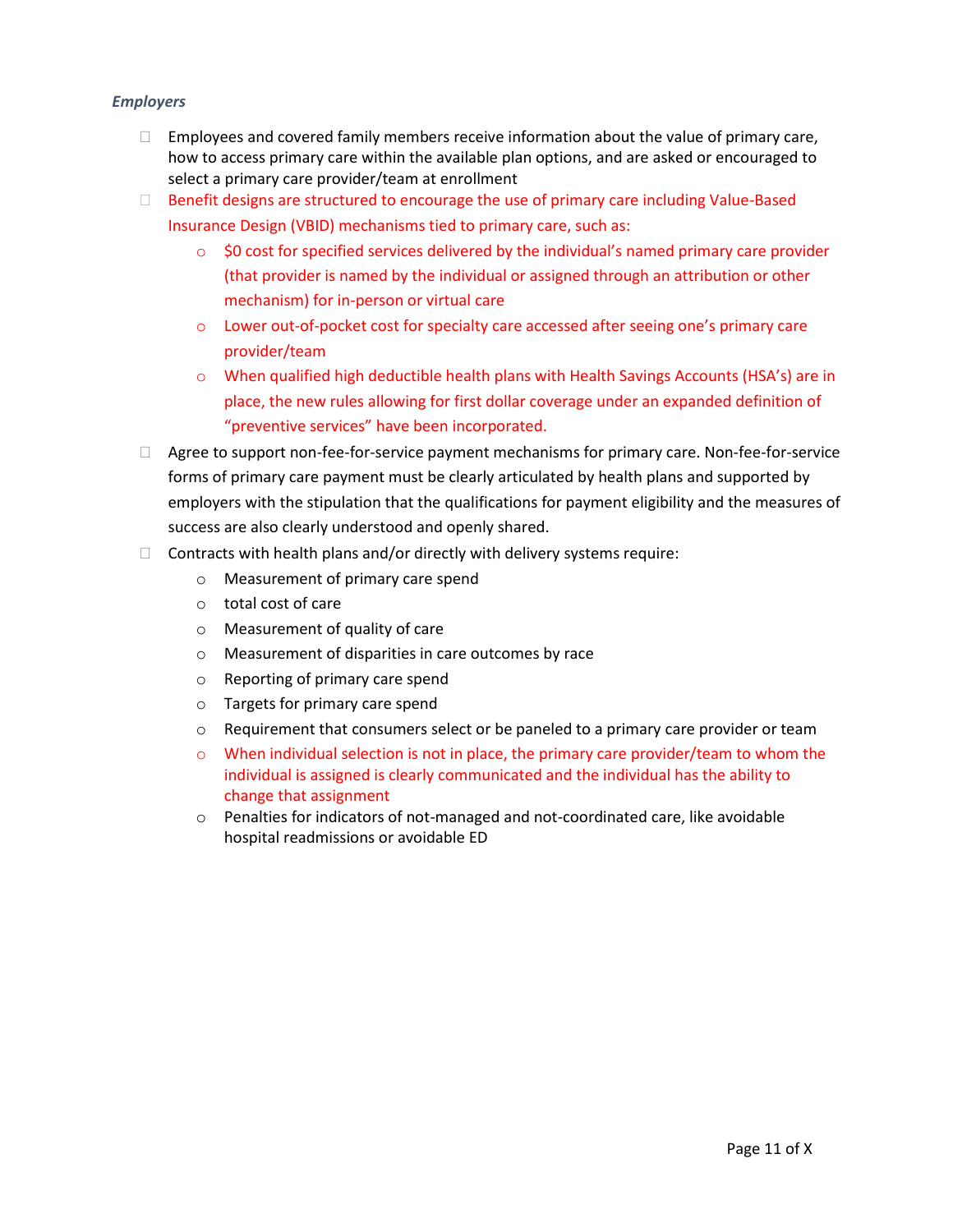#### <span id="page-11-0"></span>*Employers*

- $\Box$  Employees and covered family members receive information about the value of primary care, how to access primary care within the available plan options, and are asked or encouraged to select a primary care provider/team at enrollment
- Benefit designs are structured to encourage the use of primary care including Value-Based Insurance Design (VBID) mechanisms tied to primary care, such as:
	- $\circ$  \$0 cost for specified services delivered by the individual's named primary care provider (that provider is named by the individual or assigned through an attribution or other mechanism) for in-person or virtual care
	- o Lower out-of-pocket cost for specialty care accessed after seeing one's primary care provider/team
	- o When qualified high deductible health plans with Health Savings Accounts (HSA's) are in place, the new rules allowing for first dollar coverage under an expanded definition of "preventive services" have been incorporated.
- $\Box$  Agree to support non-fee-for-service payment mechanisms for primary care. Non-fee-for-service forms of primary care payment must be clearly articulated by health plans and supported by employers with the stipulation that the qualifications for payment eligibility and the measures of success are also clearly understood and openly shared.
- $\Box$  Contracts with health plans and/or directly with delivery systems require:
	- o Measurement of primary care spend
	- o total cost of care
	- o Measurement of quality of care
	- o Measurement of disparities in care outcomes by race
	- o Reporting of primary care spend
	- o Targets for primary care spend
	- $\circ$  Requirement that consumers select or be paneled to a primary care provider or team
	- $\circ$  When individual selection is not in place, the primary care provider/team to whom the individual is assigned is clearly communicated and the individual has the ability to change that assignment
	- o Penalties for indicators of not-managed and not-coordinated care, like avoidable hospital readmissions or avoidable ED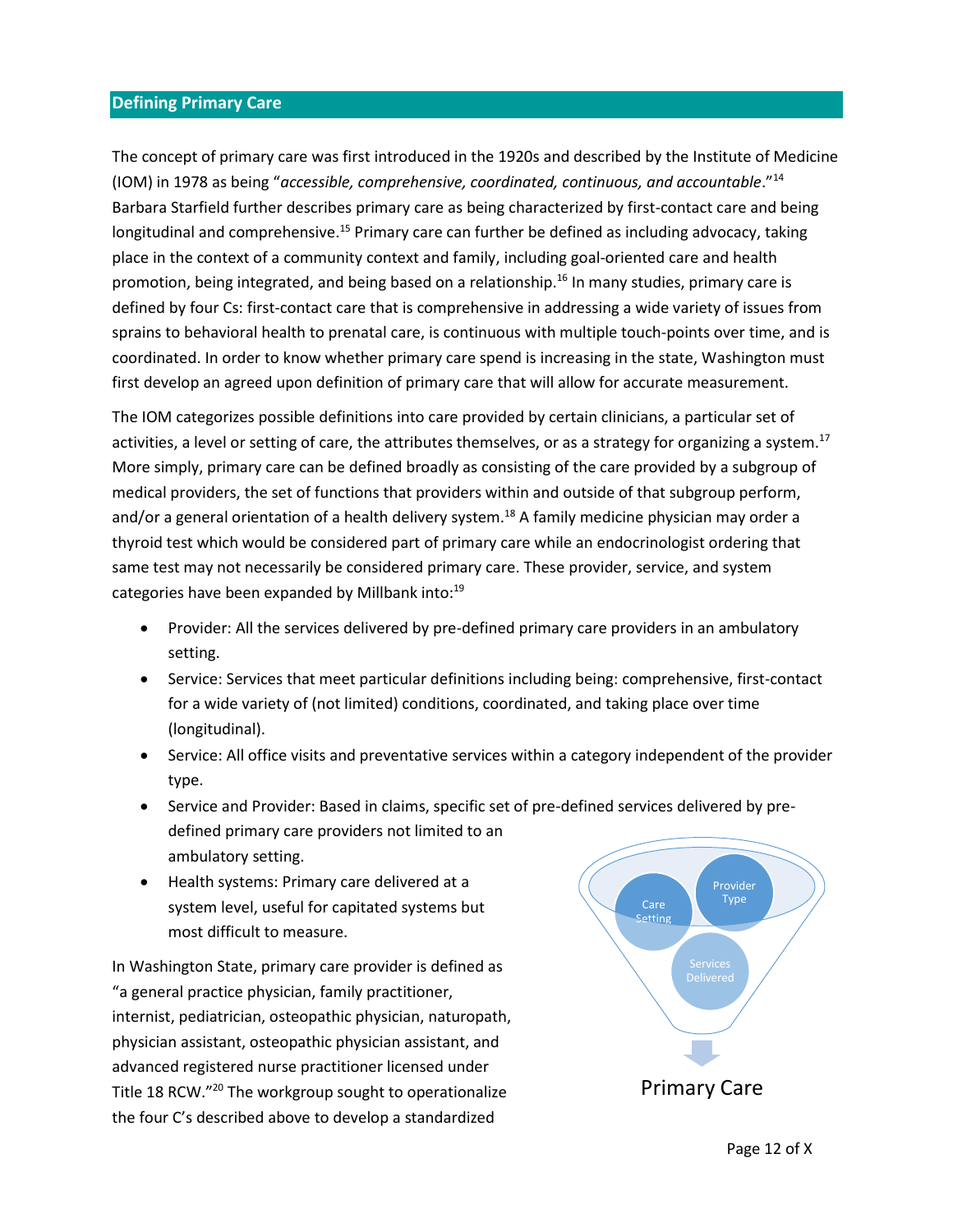#### <span id="page-12-0"></span>**Defining Primary Care**

The concept of primary care was first introduced in the 1920s and described by the Institute of Medicine (IOM) in 1978 as being "*accessible, comprehensive, coordinated, continuous, and accountable*."<sup>14</sup> Barbara Starfield further describes primary care as being characterized by first-contact care and being longitudinal and comprehensive.<sup>15</sup> Primary care can further be defined as including advocacy, taking place in the context of a community context and family, including goal-oriented care and health promotion, being integrated, and being based on a relationship. <sup>16</sup> In many studies, primary care is defined by four Cs: first-contact care that is comprehensive in addressing a wide variety of issues from sprains to behavioral health to prenatal care, is continuous with multiple touch-points over time, and is coordinated. In order to know whether primary care spend is increasing in the state, Washington must first develop an agreed upon definition of primary care that will allow for accurate measurement.

The IOM categorizes possible definitions into care provided by certain clinicians, a particular set of activities, a level or setting of care, the attributes themselves, or as a strategy for organizing a system.<sup>17</sup> More simply, primary care can be defined broadly as consisting of the care provided by a subgroup of medical providers, the set of functions that providers within and outside of that subgroup perform, and/or a general orientation of a health delivery system.<sup>18</sup> A family medicine physician may order a thyroid test which would be considered part of primary care while an endocrinologist ordering that same test may not necessarily be considered primary care. These provider, service, and system categories have been expanded by Millbank into:<sup>19</sup>

- Provider: All the services delivered by pre-defined primary care providers in an ambulatory setting.
- Service: Services that meet particular definitions including being: comprehensive, first-contact for a wide variety of (not limited) conditions, coordinated, and taking place over time (longitudinal).
- Service: All office visits and preventative services within a category independent of the provider type.
- Service and Provider: Based in claims, specific set of pre-defined services delivered by predefined primary care providers not limited to an ambulatory setting.
- Health systems: Primary care delivered at a system level, useful for capitated systems but most difficult to measure.

In Washington State, primary care provider is defined as "a general practice physician, family practitioner, internist, pediatrician, osteopathic physician, naturopath, physician assistant, osteopathic physician assistant, and advanced registered nurse practitioner licensed under Title 18 RCW." <sup>20</sup> The workgroup sought to operationalize the four C's described above to develop a standardized

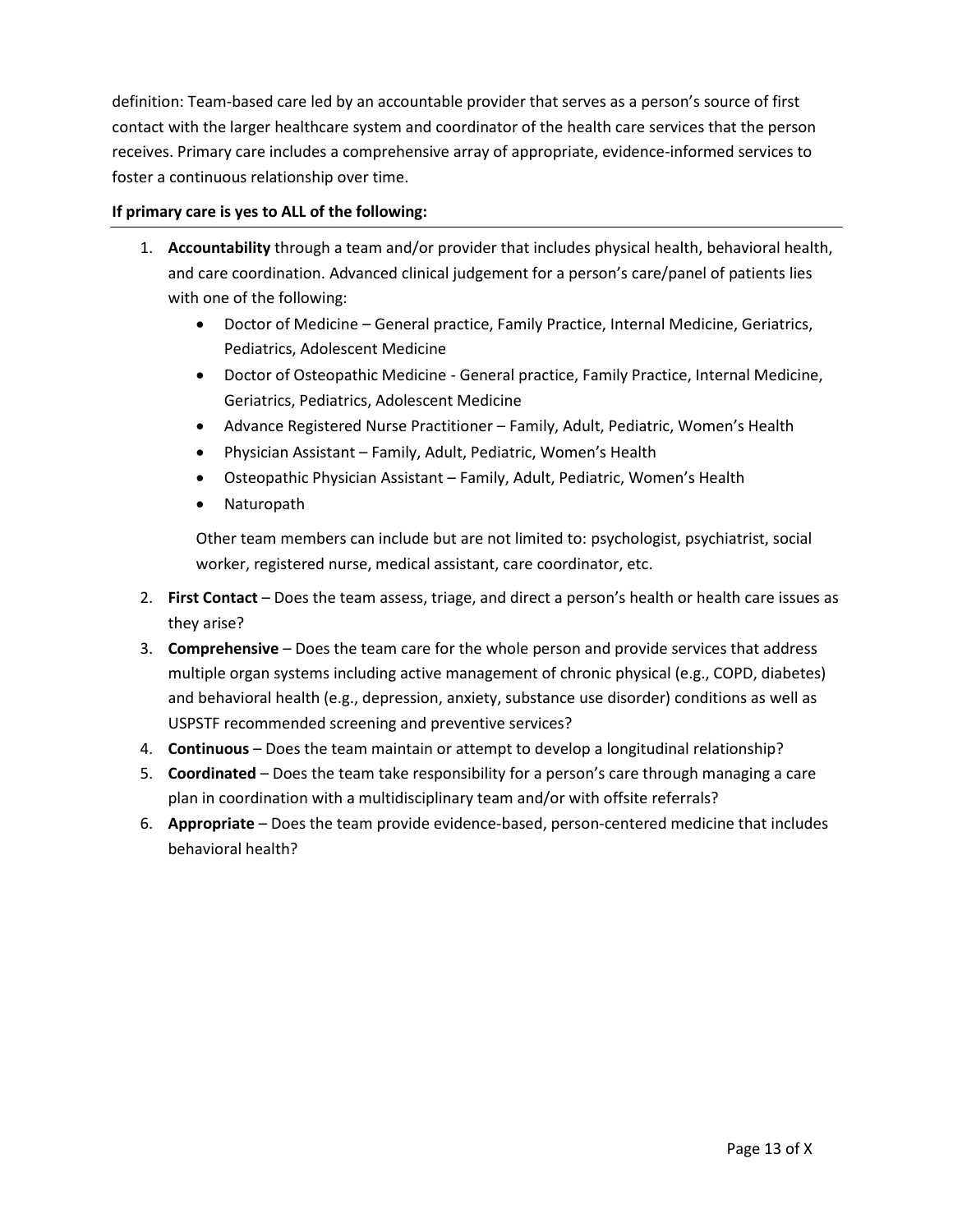definition: Team-based care led by an accountable provider that serves as a person's source of first contact with the larger healthcare system and coordinator of the health care services that the person receives. Primary care includes a comprehensive array of appropriate, evidence-informed services to foster a continuous relationship over time.

#### **If primary care is yes to ALL of the following:**

- 1. **Accountability** through a team and/or provider that includes physical health, behavioral health, and care coordination. Advanced clinical judgement for a person's care/panel of patients lies with one of the following:
	- Doctor of Medicine General practice, Family Practice, Internal Medicine, Geriatrics, Pediatrics, Adolescent Medicine
	- Doctor of Osteopathic Medicine General practice, Family Practice, Internal Medicine, Geriatrics, Pediatrics, Adolescent Medicine
	- Advance Registered Nurse Practitioner Family, Adult, Pediatric, Women's Health
	- Physician Assistant Family, Adult, Pediatric, Women's Health
	- Osteopathic Physician Assistant Family, Adult, Pediatric, Women's Health
	- Naturopath

Other team members can include but are not limited to: psychologist, psychiatrist, social worker, registered nurse, medical assistant, care coordinator, etc.

- 2. **First Contact** Does the team assess, triage, and direct a person's health or health care issues as they arise?
- 3. **Comprehensive** Does the team care for the whole person and provide services that address multiple organ systems including active management of chronic physical (e.g., COPD, diabetes) and behavioral health (e.g., depression, anxiety, substance use disorder) conditions as well as USPSTF recommended screening and preventive services?
- 4. **Continuous** Does the team maintain or attempt to develop a longitudinal relationship?
- 5. **Coordinated** Does the team take responsibility for a person's care through managing a care plan in coordination with a multidisciplinary team and/or with offsite referrals?
- 6. **Appropriate** Does the team provide evidence-based, person-centered medicine that includes behavioral health?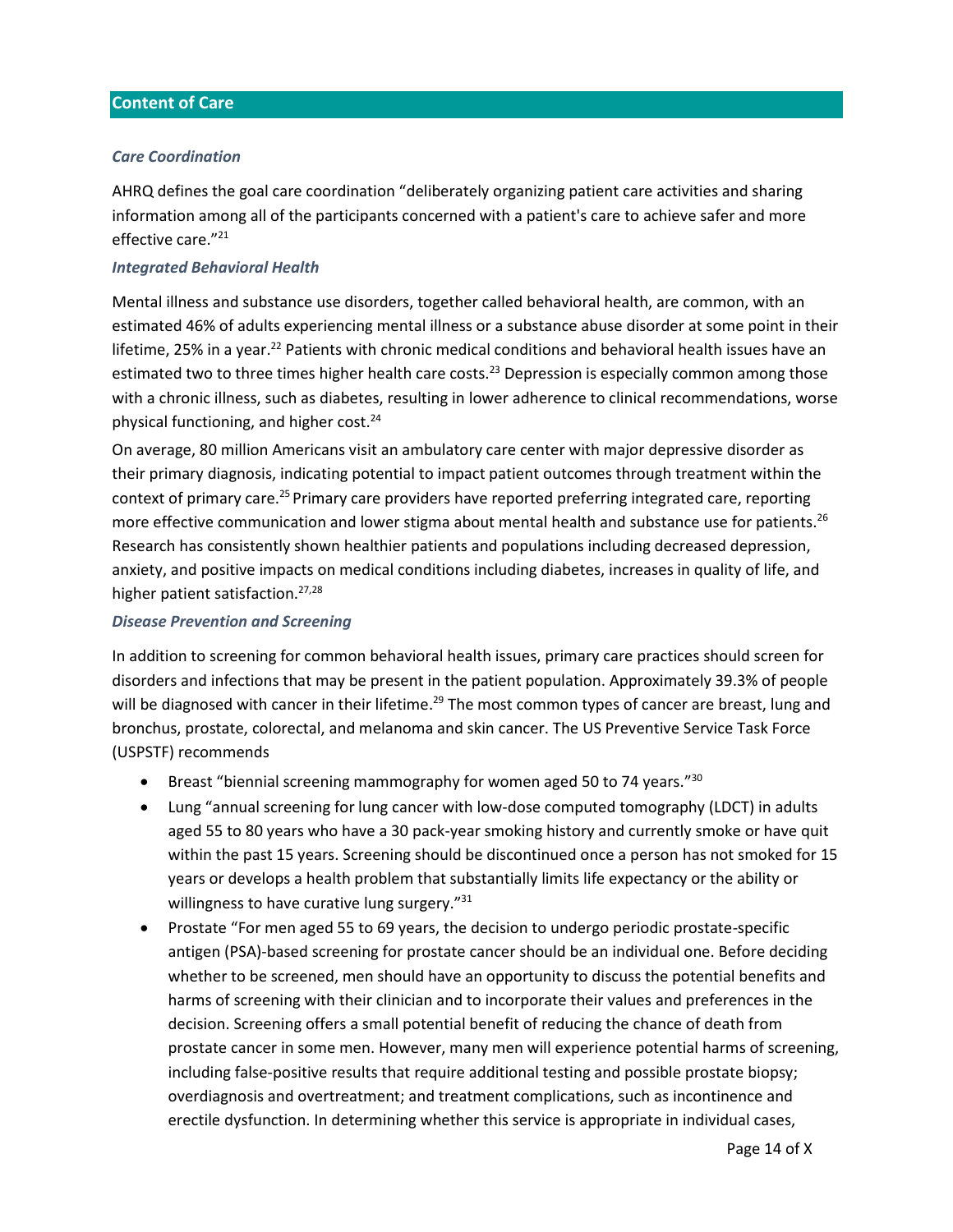#### <span id="page-14-0"></span>**Content of Care**

#### <span id="page-14-1"></span>*Care Coordination*

AHRQ defines the goal care coordination "deliberately organizing patient care activities and sharing information among all of the participants concerned with a patient's care to achieve safer and more effective care."<sup>21</sup>

#### <span id="page-14-2"></span>*Integrated Behavioral Health*

Mental illness and substance use disorders, together called behavioral health, are common, with an estimated 46% of adults experiencing mental illness or a substance abuse disorder at some point in their lifetime, 25% in a year.<sup>22</sup> Patients with chronic medical conditions and behavioral health issues have an estimated two to three times higher health care costs.<sup>23</sup> Depression is especially common among those with a chronic illness, such as diabetes, resulting in lower adherence to clinical recommendations, worse physical functioning, and higher cost.<sup>24</sup>

On average, 80 million Americans visit an ambulatory care center with major depressive disorder as their primary diagnosis, indicating potential to impact patient outcomes through treatment within the context of primary care.<sup>25</sup> Primary care providers have reported preferring integrated care, reporting more effective communication and lower stigma about mental health and substance use for patients.<sup>26</sup> Research has consistently shown healthier patients and populations including decreased depression, anxiety, and positive impacts on medical conditions including diabetes, increases in quality of life, and higher patient satisfaction.<sup>27,28</sup>

#### <span id="page-14-3"></span>*Disease Prevention and Screening*

In addition to screening for common behavioral health issues, primary care practices should screen for disorders and infections that may be present in the patient population. Approximately 39.3% of people will be diagnosed with cancer in their lifetime.<sup>29</sup> The most common types of cancer are breast, lung and bronchus, prostate, colorectal, and melanoma and skin cancer. The US Preventive Service Task Force (USPSTF) recommends

- Breast "biennial screening mammography for women aged 50 to 74 years."<sup>30</sup>
- Lung "annual screening for lung cancer with low-dose computed tomography (LDCT) in adults aged 55 to 80 years who have a 30 pack-year smoking history and currently smoke or have quit within the past 15 years. Screening should be discontinued once a person has not smoked for 15 years or develops a health problem that substantially limits life expectancy or the ability or willingness to have curative lung surgery."<sup>31</sup>
- Prostate "For men aged 55 to 69 years, the decision to undergo periodic prostate-specific antigen (PSA)-based screening for prostate cancer should be an individual one. Before deciding whether to be screened, men should have an opportunity to discuss the potential benefits and harms of screening with their clinician and to incorporate their values and preferences in the decision. Screening offers a small potential benefit of reducing the chance of death from prostate cancer in some men. However, many men will experience potential harms of screening, including false-positive results that require additional testing and possible prostate biopsy; overdiagnosis and overtreatment; and treatment complications, such as incontinence and erectile dysfunction. In determining whether this service is appropriate in individual cases,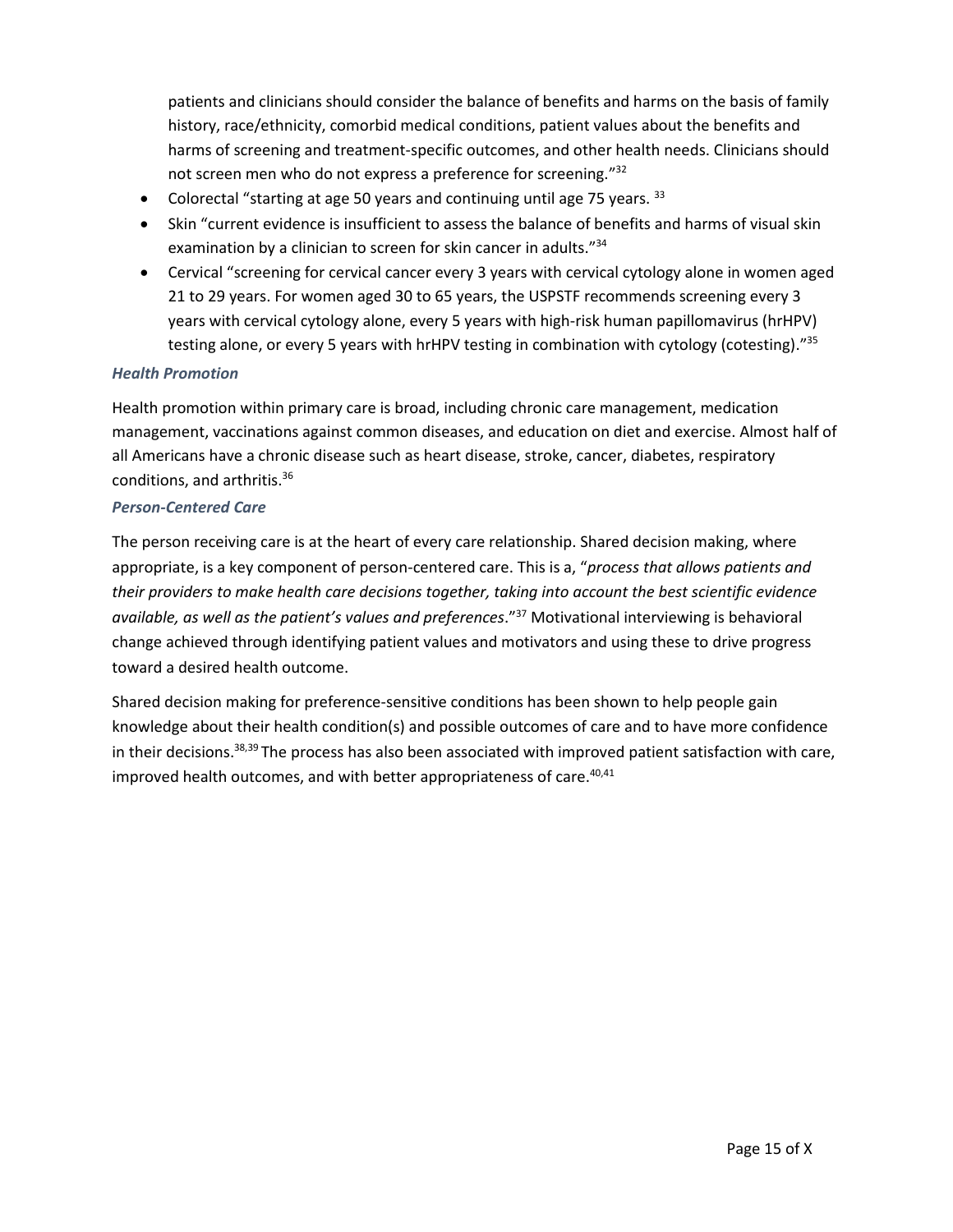patients and clinicians should consider the balance of benefits and harms on the basis of family history, race/ethnicity, comorbid medical conditions, patient values about the benefits and harms of screening and treatment-specific outcomes, and other health needs. Clinicians should not screen men who do not express a preference for screening."<sup>32</sup>

- Colorectal "starting at age 50 years and continuing until age 75 years.  $33$
- Skin "current evidence is insufficient to assess the balance of benefits and harms of visual skin examination by a clinician to screen for skin cancer in adults."<sup>34</sup>
- Cervical "screening for cervical cancer every 3 years with cervical cytology alone in women aged 21 to 29 years. For women aged 30 to 65 years, the USPSTF recommends screening every 3 years with cervical cytology alone, every 5 years with high-risk human papillomavirus (hrHPV) testing alone, or every 5 years with hrHPV testing in combination with cytology (cotesting)."35

#### <span id="page-15-0"></span>*Health Promotion*

Health promotion within primary care is broad, including chronic care management, medication management, vaccinations against common diseases, and education on diet and exercise. Almost half of all Americans have a chronic disease such as heart disease, stroke, cancer, diabetes, respiratory conditions, and arthritis.<sup>36</sup>

#### <span id="page-15-1"></span>*Person-Centered Care*

The person receiving care is at the heart of every care relationship. Shared decision making, where appropriate, is a key component of person-centered care. This is a, "*process that allows patients and their providers to make health care decisions together, taking into account the best scientific evidence available, as well as the patient's values and preferences*."<sup>37</sup> Motivational interviewing is behavioral change achieved through identifying patient values and motivators and using these to drive progress toward a desired health outcome.

Shared decision making for preference-sensitive conditions has been shown to help people gain knowledge about their health condition(s) and possible outcomes of care and to have more confidence in their decisions.<sup>38,39</sup> The process has also been associated with improved patient satisfaction with care, improved health outcomes, and with better appropriateness of care.<sup>40,41</sup>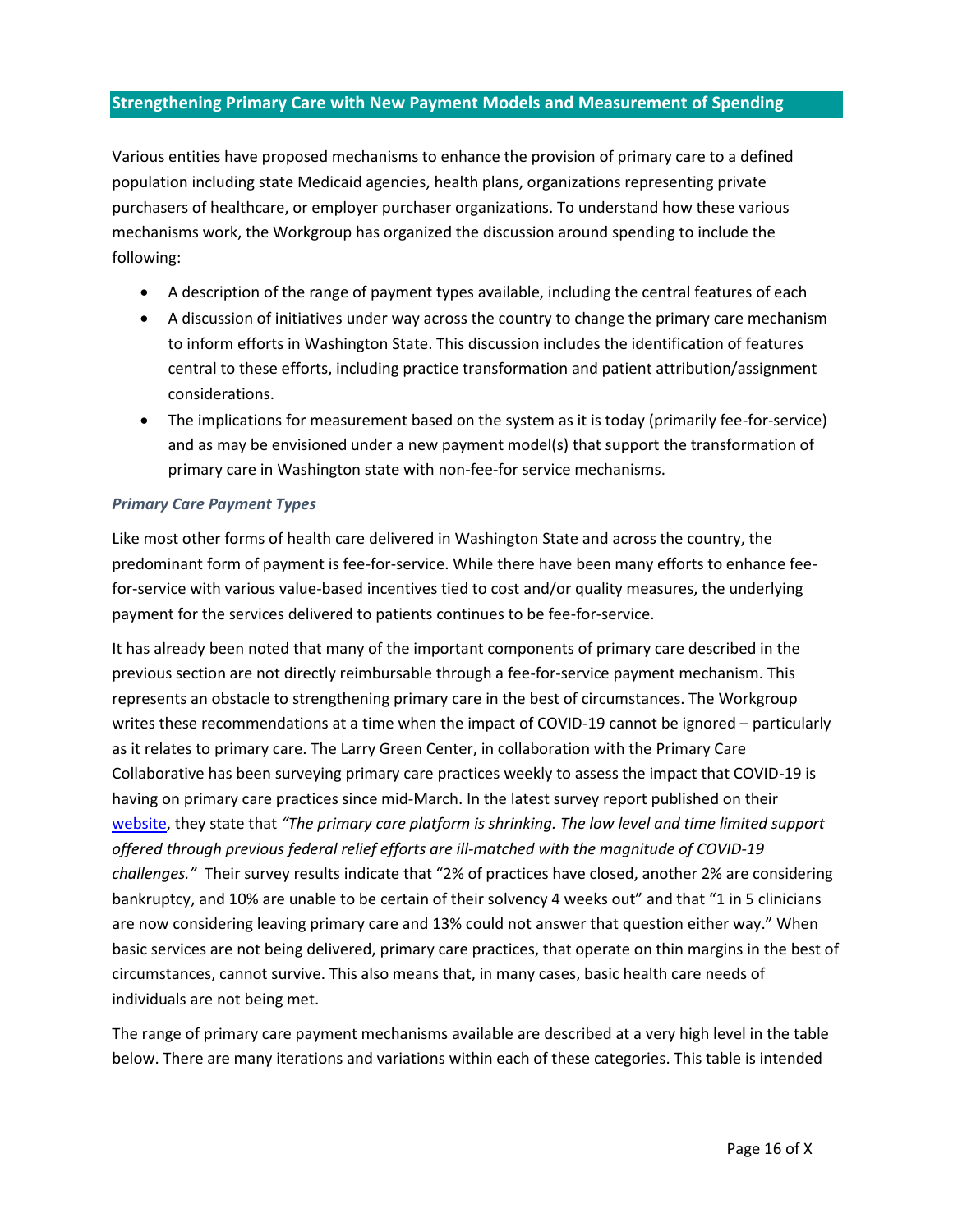# <span id="page-16-0"></span>**Strengthening Primary Care with New Payment Models and Measurement of Spending**

Various entities have proposed mechanisms to enhance the provision of primary care to a defined population including state Medicaid agencies, health plans, organizations representing private purchasers of healthcare, or employer purchaser organizations. To understand how these various mechanisms work, the Workgroup has organized the discussion around spending to include the following:

- A description of the range of payment types available, including the central features of each
- A discussion of initiatives under way across the country to change the primary care mechanism to inform efforts in Washington State. This discussion includes the identification of features central to these efforts, including practice transformation and patient attribution/assignment considerations.
- The implications for measurement based on the system as it is today (primarily fee-for-service) and as may be envisioned under a new payment model(s) that support the transformation of primary care in Washington state with non-fee-for service mechanisms.

#### <span id="page-16-1"></span>*Primary Care Payment Types*

Like most other forms of health care delivered in Washington State and across the country, the predominant form of payment is fee-for-service. While there have been many efforts to enhance feefor-service with various value-based incentives tied to cost and/or quality measures, the underlying payment for the services delivered to patients continues to be fee-for-service.

It has already been noted that many of the important components of primary care described in the previous section are not directly reimbursable through a fee-for-service payment mechanism. This represents an obstacle to strengthening primary care in the best of circumstances. The Workgroup writes these recommendations at a time when the impact of COVID-19 cannot be ignored – particularly as it relates to primary care. The Larry Green Center, in collaboration with the Primary Care Collaborative has been surveying primary care practices weekly to assess the impact that COVID-19 is having on primary care practices since mid-March. In the latest survey report published on their [website,](https://static1.squarespace.com/static/5d7ff8184cf0e01e4566cb02/t/5f47defcceda12236bb2d660/1598545661461/C19+Series+19+National+Executive+Summary.pdf) they state that *"The primary care platform is shrinking. The low level and time limited support offered through previous federal relief efforts are ill-matched with the magnitude of COVID-19 challenges."* Their survey results indicate that "2% of practices have closed, another 2% are considering bankruptcy, and 10% are unable to be certain of their solvency 4 weeks out" and that "1 in 5 clinicians are now considering leaving primary care and 13% could not answer that question either way." When basic services are not being delivered, primary care practices, that operate on thin margins in the best of circumstances, cannot survive. This also means that, in many cases, basic health care needs of individuals are not being met.

The range of primary care payment mechanisms available are described at a very high level in the table below. There are many iterations and variations within each of these categories. This table is intended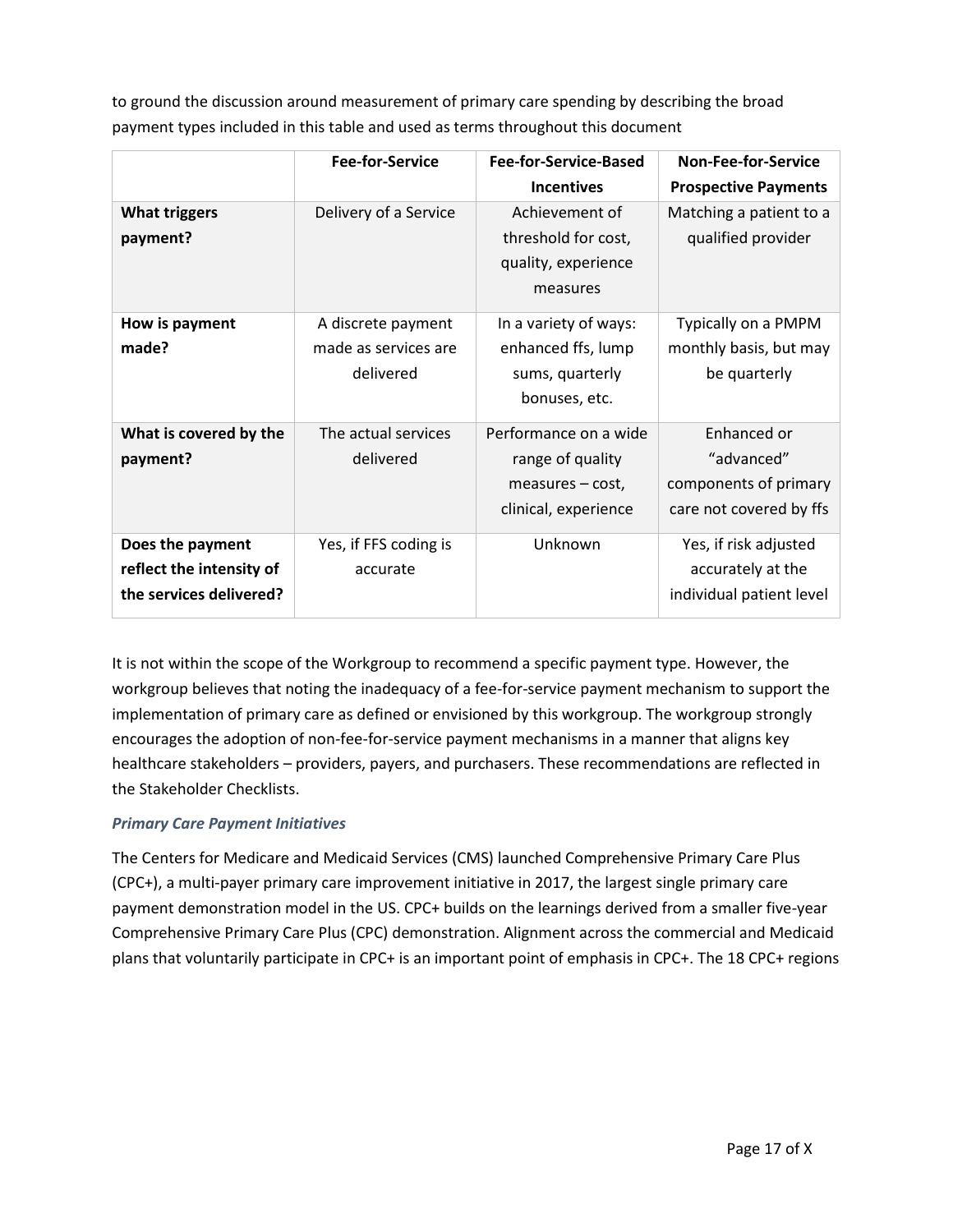to ground the discussion around measurement of primary care spending by describing the broad payment types included in this table and used as terms throughout this document

|                                                                         | <b>Fee-for-Service</b>                                  | Fee-for-Service-Based                                                                 | <b>Non-Fee-for-Service</b>                                                    |
|-------------------------------------------------------------------------|---------------------------------------------------------|---------------------------------------------------------------------------------------|-------------------------------------------------------------------------------|
|                                                                         |                                                         | <b>Incentives</b>                                                                     | <b>Prospective Payments</b>                                                   |
| <b>What triggers</b><br>payment?                                        | Delivery of a Service                                   | Achievement of<br>threshold for cost,<br>quality, experience<br>measures              | Matching a patient to a<br>qualified provider                                 |
| How is payment<br>made?                                                 | A discrete payment<br>made as services are<br>delivered | In a variety of ways:<br>enhanced ffs, lump<br>sums, quarterly<br>bonuses, etc.       | Typically on a PMPM<br>monthly basis, but may<br>be quarterly                 |
| What is covered by the<br>payment?                                      | The actual services<br>delivered                        | Performance on a wide<br>range of quality<br>measures – cost,<br>clinical, experience | Enhanced or<br>"advanced"<br>components of primary<br>care not covered by ffs |
| Does the payment<br>reflect the intensity of<br>the services delivered? | Yes, if FFS coding is<br>accurate                       | Unknown                                                                               | Yes, if risk adjusted<br>accurately at the<br>individual patient level        |

It is not within the scope of the Workgroup to recommend a specific payment type. However, the workgroup believes that noting the inadequacy of a fee-for-service payment mechanism to support the implementation of primary care as defined or envisioned by this workgroup. The workgroup strongly encourages the adoption of non-fee-for-service payment mechanisms in a manner that aligns key healthcare stakeholders – providers, payers, and purchasers. These recommendations are reflected in the Stakeholder Checklists.

# <span id="page-17-0"></span>*Primary Care Payment Initiatives*

The Centers for Medicare and Medicaid Services (CMS) launched Comprehensive Primary Care Plus (CPC+), a multi-payer primary care improvement initiative in 2017, the largest single primary care payment demonstration model in the US. CPC+ builds on the learnings derived from a smaller five-year Comprehensive Primary Care Plus (CPC) demonstration. Alignment across the commercial and Medicaid plans that voluntarily participate in CPC+ is an important point of emphasis in CPC+. The 18 CPC+ regions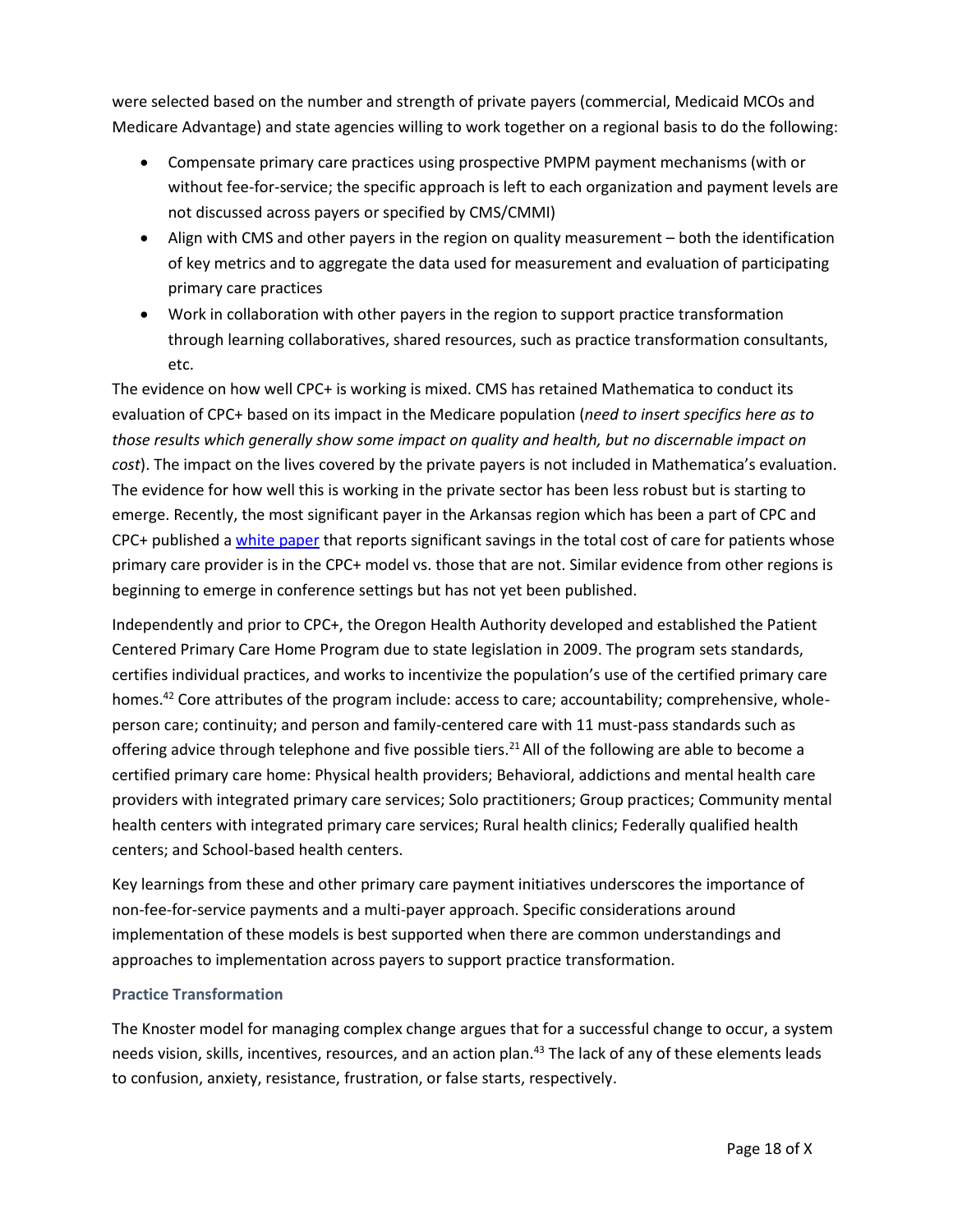were selected based on the number and strength of private payers (commercial, Medicaid MCOs and Medicare Advantage) and state agencies willing to work together on a regional basis to do the following:

- Compensate primary care practices using prospective PMPM payment mechanisms (with or without fee-for-service; the specific approach is left to each organization and payment levels are not discussed across payers or specified by CMS/CMMI)
- Align with CMS and other payers in the region on quality measurement both the identification of key metrics and to aggregate the data used for measurement and evaluation of participating primary care practices
- Work in collaboration with other payers in the region to support practice transformation through learning collaboratives, shared resources, such as practice transformation consultants, etc.

The evidence on how well CPC+ is working is mixed. CMS has retained Mathematica to conduct its evaluation of CPC+ based on its impact in the Medicare population (*need to insert specifics here as to those results which generally show some impact on quality and health, but no discernable impact on cost*). The impact on the lives covered by the private payers is not included in Mathematica's evaluation. The evidence for how well this is working in the private sector has been less robust but is starting to emerge. Recently, the most significant payer in the Arkansas region which has been a part of CPC and CPC+ published [a white paper](https://www.milbank.org/publications/value-based-primary-care-insights-from-a-commercial-insurer-in-arkansas/) that reports significant savings in the total cost of care for patients whose primary care provider is in the CPC+ model vs. those that are not. Similar evidence from other regions is beginning to emerge in conference settings but has not yet been published.

Independently and prior to CPC+, the Oregon Health Authority developed and established the Patient Centered Primary Care Home Program due to state legislation in 2009. The program sets standards, certifies individual practices, and works to incentivize the population's use of the certified primary care homes.<sup>42</sup> Core attributes of the program include: access to care; accountability; comprehensive, wholeperson care; continuity; and person and family-centered care with 11 must-pass standards such as offering advice through telephone and five possible tiers.<sup>21</sup> All of the following are able to become a certified primary care home: Physical health providers; Behavioral, addictions and mental health care providers with integrated primary care services; Solo practitioners; Group practices; Community mental health centers with integrated primary care services; Rural health clinics; Federally qualified health centers; and School-based health centers.

Key learnings from these and other primary care payment initiatives underscores the importance of non-fee-for-service payments and a multi-payer approach. Specific considerations around implementation of these models is best supported when there are common understandings and approaches to implementation across payers to support practice transformation.

#### <span id="page-18-0"></span>**Practice Transformation**

The Knoster model for managing complex change argues that for a successful change to occur, a system needs vision, skills, incentives, resources, and an action plan.<sup>43</sup> The lack of any of these elements leads to confusion, anxiety, resistance, frustration, or false starts, respectively.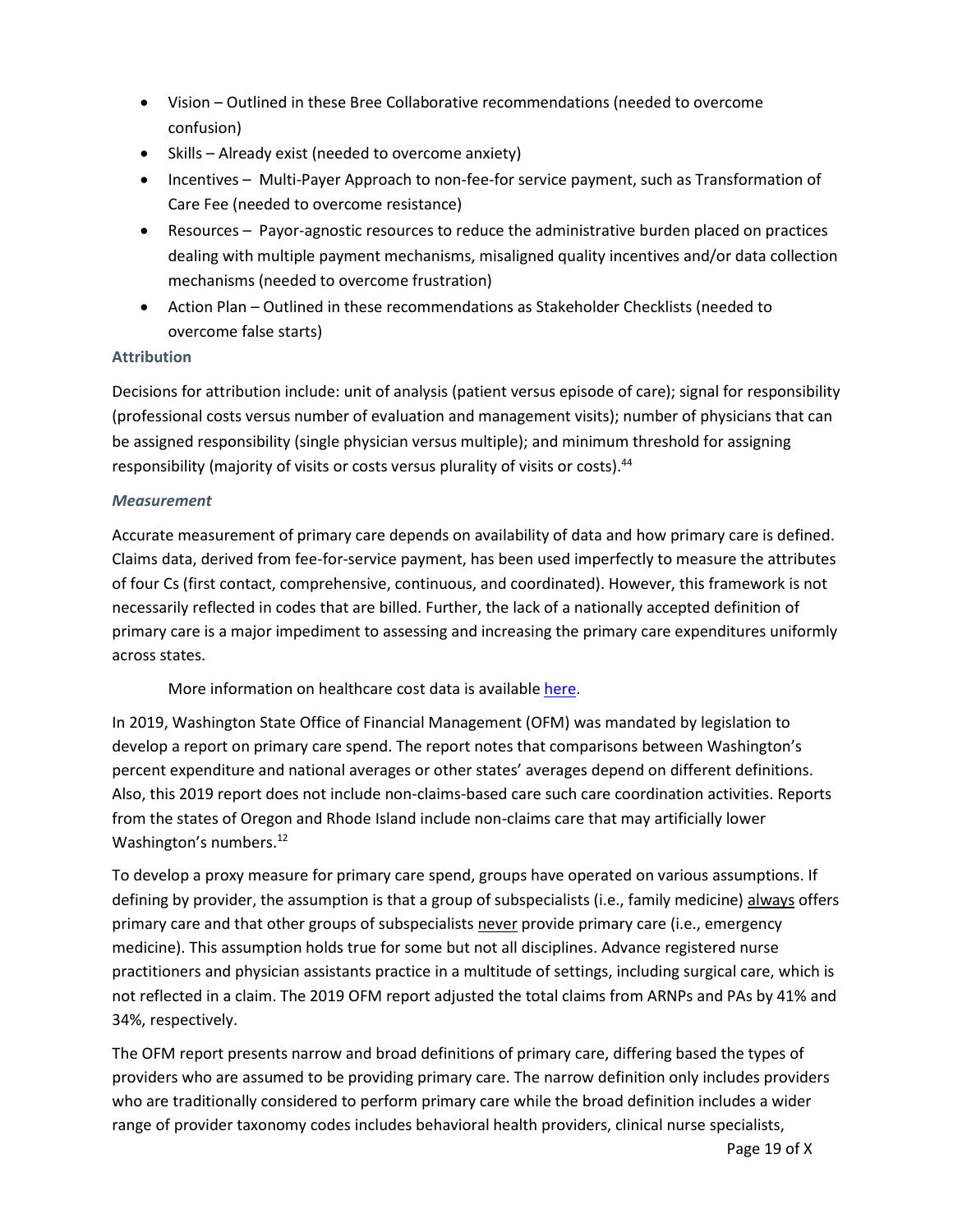- Vision Outlined in these Bree Collaborative recommendations (needed to overcome confusion)
- Skills Already exist (needed to overcome anxiety)
- Incentives Multi-Payer Approach to non-fee-for service payment, such as Transformation of Care Fee (needed to overcome resistance)
- Resources Payor-agnostic resources to reduce the administrative burden placed on practices dealing with multiple payment mechanisms, misaligned quality incentives and/or data collection mechanisms (needed to overcome frustration)
- Action Plan Outlined in these recommendations as Stakeholder Checklists (needed to overcome false starts)

# <span id="page-19-0"></span>**Attribution**

Decisions for attribution include: unit of analysis (patient versus episode of care); signal for responsibility (professional costs versus number of evaluation and management visits); number of physicians that can be assigned responsibility (single physician versus multiple); and minimum threshold for assigning responsibility (majority of visits or costs versus plurality of visits or costs).<sup>44</sup>

### <span id="page-19-1"></span>*Measurement*

Accurate measurement of primary care depends on availability of data and how primary care is defined. Claims data, derived from fee-for-service payment, has been used imperfectly to measure the attributes of four Cs (first contact, comprehensive, continuous, and coordinated). However, this framework is not necessarily reflected in codes that are billed. Further, the lack of a nationally accepted definition of primary care is a major impediment to assessing and increasing the primary care expenditures uniformly across states.

More information on healthcare cost data is availabl[e here.](https://www.cdc.gov/workplacehealthpromotion/model/healthcare-cost-data/interpreting.html)

In 2019, Washington State Office of Financial Management (OFM) was mandated by legislation to develop a report on primary care spend. The report notes that comparisons between Washington's percent expenditure and national averages or other states' averages depend on different definitions. Also, this 2019 report does not include non-claims-based care such care coordination activities. Reports from the states of Oregon and Rhode Island include non-claims care that may artificially lower Washington's numbers.<sup>[12](#page-3-2)</sup>

To develop a proxy measure for primary care spend, groups have operated on various assumptions. If defining by provider, the assumption is that a group of subspecialists (i.e., family medicine) always offers primary care and that other groups of subspecialists never provide primary care (i.e., emergency medicine). This assumption holds true for some but not all disciplines. Advance registered nurse practitioners and physician assistants practice in a multitude of settings, including surgical care, which is not reflected in a claim. The 2019 OFM report adjusted the total claims from ARNPs and PAs by 41% and 34%, respectively.

The OFM report presents narrow and broad definitions of primary care, differing based the types of providers who are assumed to be providing primary care. The narrow definition only includes providers who are traditionally considered to perform primary care while the broad definition includes a wider range of provider taxonomy codes includes behavioral health providers, clinical nurse specialists,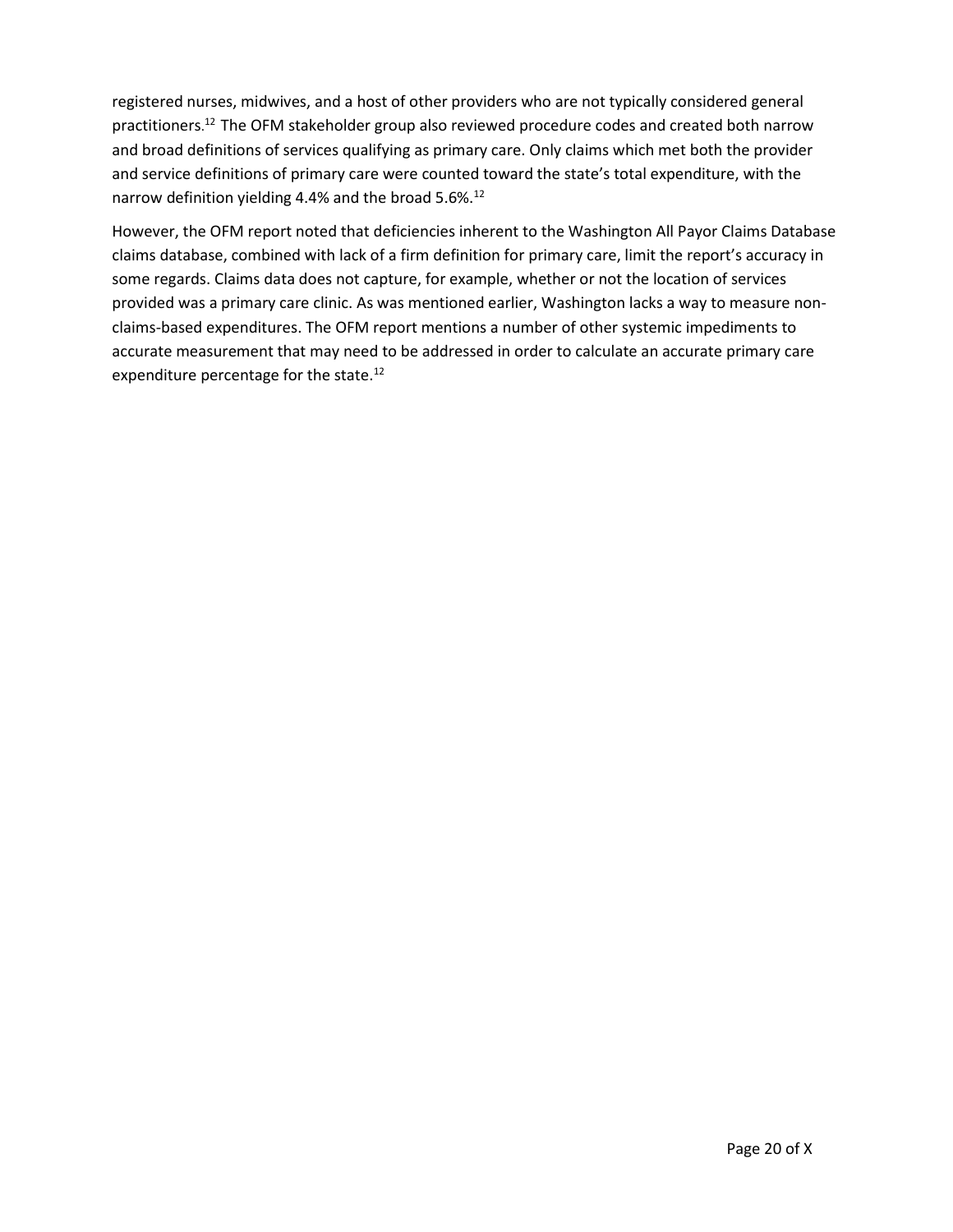registered nurses, midwives, and a host of other providers who are not typically considered general practitioners. [12](#page-3-2) The OFM stakeholder group also reviewed procedure codes and created both narrow and broad definitions of services qualifying as primary care. Only claims which met both the provider and service definitions of primary care were counted toward the state's total expenditure, with the narrow definition yielding 4.4% and the broad 5.6%.<sup>[12](#page-3-2)</sup>

However, the OFM report noted that deficiencies inherent to the Washington All Payor Claims Database claims database, combined with lack of a firm definition for primary care, limit the report's accuracy in some regards. Claims data does not capture, for example, whether or not the location of services provided was a primary care clinic. As was mentioned earlier, Washington lacks a way to measure nonclaims-based expenditures. The OFM report mentions a number of other systemic impediments to accurate measurement that may need to be addressed in order to calculate an accurate primary care expenditure percentage for the state.<sup>[12](#page-3-2)</sup>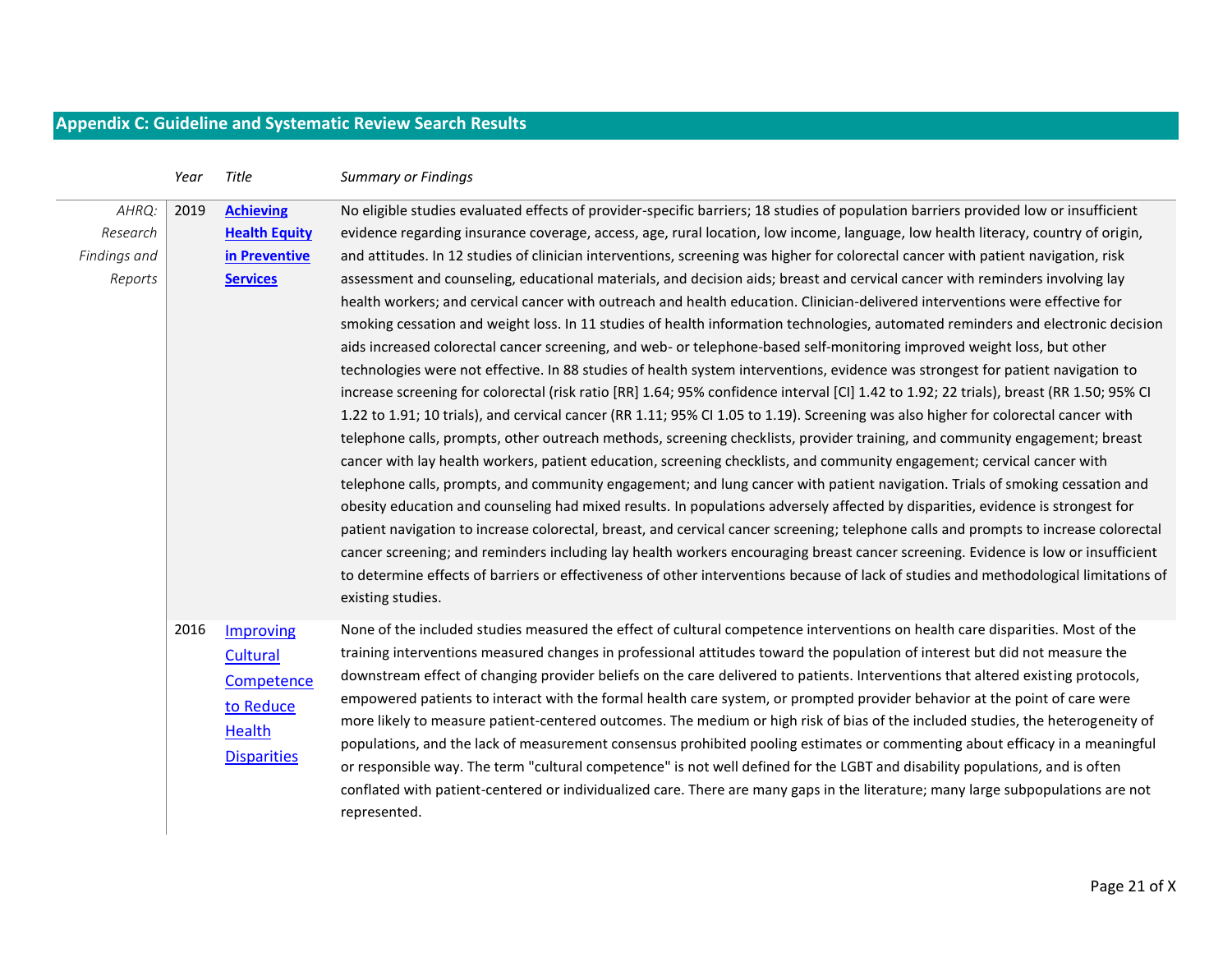# **Appendix C: Guideline and Systematic Review Search Results**

<span id="page-21-0"></span>

|                                              | Year | Title                                                                            | <b>Summary or Findings</b>                                                                                                                                                                                                                                                                                                                                                                                                                                                                                                                                                                                                                                                                                                                                                                                                                                                                                                                                                                                                                                                                                                                                                                                                                                                                                                                                                                                                                                                                                                                                                                                                                                                                                                                                                                                                                                                                                                                                                                                                                                                                                                                                                                                                                                                                                                               |
|----------------------------------------------|------|----------------------------------------------------------------------------------|------------------------------------------------------------------------------------------------------------------------------------------------------------------------------------------------------------------------------------------------------------------------------------------------------------------------------------------------------------------------------------------------------------------------------------------------------------------------------------------------------------------------------------------------------------------------------------------------------------------------------------------------------------------------------------------------------------------------------------------------------------------------------------------------------------------------------------------------------------------------------------------------------------------------------------------------------------------------------------------------------------------------------------------------------------------------------------------------------------------------------------------------------------------------------------------------------------------------------------------------------------------------------------------------------------------------------------------------------------------------------------------------------------------------------------------------------------------------------------------------------------------------------------------------------------------------------------------------------------------------------------------------------------------------------------------------------------------------------------------------------------------------------------------------------------------------------------------------------------------------------------------------------------------------------------------------------------------------------------------------------------------------------------------------------------------------------------------------------------------------------------------------------------------------------------------------------------------------------------------------------------------------------------------------------------------------------------------|
| AHRQ:<br>Research<br>Findings and<br>Reports | 2019 | <b>Achieving</b><br><b>Health Equity</b><br>in Preventive<br><b>Services</b>     | No eligible studies evaluated effects of provider-specific barriers; 18 studies of population barriers provided low or insufficient<br>evidence regarding insurance coverage, access, age, rural location, low income, language, low health literacy, country of origin,<br>and attitudes. In 12 studies of clinician interventions, screening was higher for colorectal cancer with patient navigation, risk<br>assessment and counseling, educational materials, and decision aids; breast and cervical cancer with reminders involving lay<br>health workers; and cervical cancer with outreach and health education. Clinician-delivered interventions were effective for<br>smoking cessation and weight loss. In 11 studies of health information technologies, automated reminders and electronic decision<br>aids increased colorectal cancer screening, and web- or telephone-based self-monitoring improved weight loss, but other<br>technologies were not effective. In 88 studies of health system interventions, evidence was strongest for patient navigation to<br>increase screening for colorectal (risk ratio [RR] 1.64; 95% confidence interval [CI] 1.42 to 1.92; 22 trials), breast (RR 1.50; 95% CI<br>1.22 to 1.91; 10 trials), and cervical cancer (RR 1.11; 95% CI 1.05 to 1.19). Screening was also higher for colorectal cancer with<br>telephone calls, prompts, other outreach methods, screening checklists, provider training, and community engagement; breast<br>cancer with lay health workers, patient education, screening checklists, and community engagement; cervical cancer with<br>telephone calls, prompts, and community engagement; and lung cancer with patient navigation. Trials of smoking cessation and<br>obesity education and counseling had mixed results. In populations adversely affected by disparities, evidence is strongest for<br>patient navigation to increase colorectal, breast, and cervical cancer screening; telephone calls and prompts to increase colorectal<br>cancer screening; and reminders including lay health workers encouraging breast cancer screening. Evidence is low or insufficient<br>to determine effects of barriers or effectiveness of other interventions because of lack of studies and methodological limitations of<br>existing studies. |
|                                              | 2016 | Improving<br>Cultural<br>Competence<br>to Reduce<br>Health<br><b>Disparities</b> | None of the included studies measured the effect of cultural competence interventions on health care disparities. Most of the<br>training interventions measured changes in professional attitudes toward the population of interest but did not measure the<br>downstream effect of changing provider beliefs on the care delivered to patients. Interventions that altered existing protocols,<br>empowered patients to interact with the formal health care system, or prompted provider behavior at the point of care were<br>more likely to measure patient-centered outcomes. The medium or high risk of bias of the included studies, the heterogeneity of<br>populations, and the lack of measurement consensus prohibited pooling estimates or commenting about efficacy in a meaningful<br>or responsible way. The term "cultural competence" is not well defined for the LGBT and disability populations, and is often<br>conflated with patient-centered or individualized care. There are many gaps in the literature; many large subpopulations are not<br>represented.                                                                                                                                                                                                                                                                                                                                                                                                                                                                                                                                                                                                                                                                                                                                                                                                                                                                                                                                                                                                                                                                                                                                                                                                                                                    |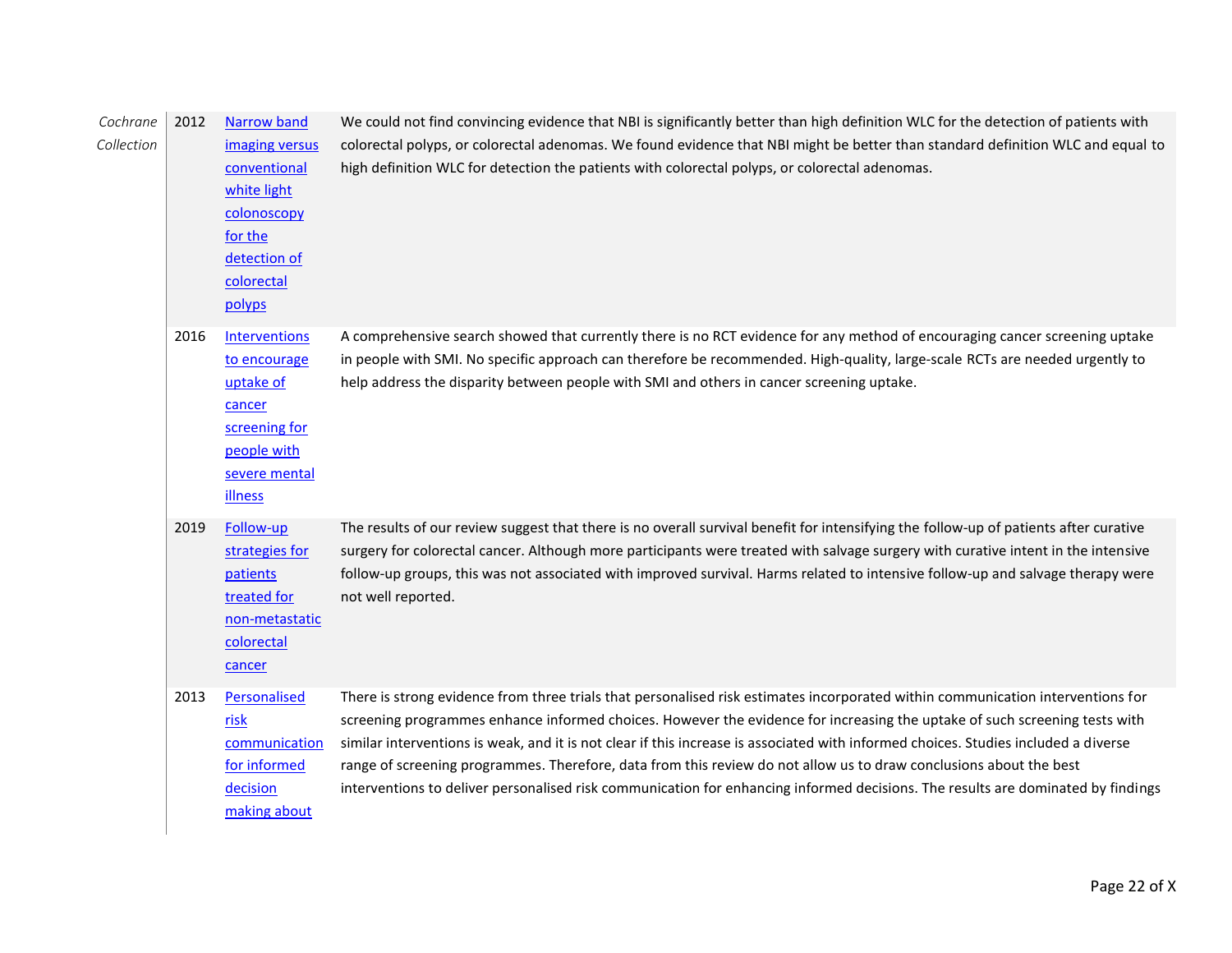| Cochrane<br>Collection | 2012 | <b>Narrow band</b><br>imaging versus<br>conventional<br>white light<br>colonoscopy<br>for the<br>detection of<br>colorectal<br>polyps | We could not find convincing evidence that NBI is significantly better than high definition WLC for the detection of patients with<br>colorectal polyps, or colorectal adenomas. We found evidence that NBI might be better than standard definition WLC and equal to<br>high definition WLC for detection the patients with colorectal polyps, or colorectal adenomas.                                                                                                                                                                                                                                                                                        |
|------------------------|------|---------------------------------------------------------------------------------------------------------------------------------------|----------------------------------------------------------------------------------------------------------------------------------------------------------------------------------------------------------------------------------------------------------------------------------------------------------------------------------------------------------------------------------------------------------------------------------------------------------------------------------------------------------------------------------------------------------------------------------------------------------------------------------------------------------------|
|                        | 2016 | <b>Interventions</b><br>to encourage<br>uptake of<br>cancer<br>screening for<br>people with<br>severe mental<br><b>illness</b>        | A comprehensive search showed that currently there is no RCT evidence for any method of encouraging cancer screening uptake<br>in people with SMI. No specific approach can therefore be recommended. High-quality, large-scale RCTs are needed urgently to<br>help address the disparity between people with SMI and others in cancer screening uptake.                                                                                                                                                                                                                                                                                                       |
|                        | 2019 | Follow-up<br>strategies for<br>patients<br>treated for<br>non-metastatic<br>colorectal<br>cancer                                      | The results of our review suggest that there is no overall survival benefit for intensifying the follow-up of patients after curative<br>surgery for colorectal cancer. Although more participants were treated with salvage surgery with curative intent in the intensive<br>follow-up groups, this was not associated with improved survival. Harms related to intensive follow-up and salvage therapy were<br>not well reported.                                                                                                                                                                                                                            |
|                        | 2013 | Personalised<br>risk<br>communication<br>for informed<br>decision<br>making about                                                     | There is strong evidence from three trials that personalised risk estimates incorporated within communication interventions for<br>screening programmes enhance informed choices. However the evidence for increasing the uptake of such screening tests with<br>similar interventions is weak, and it is not clear if this increase is associated with informed choices. Studies included a diverse<br>range of screening programmes. Therefore, data from this review do not allow us to draw conclusions about the best<br>interventions to deliver personalised risk communication for enhancing informed decisions. The results are dominated by findings |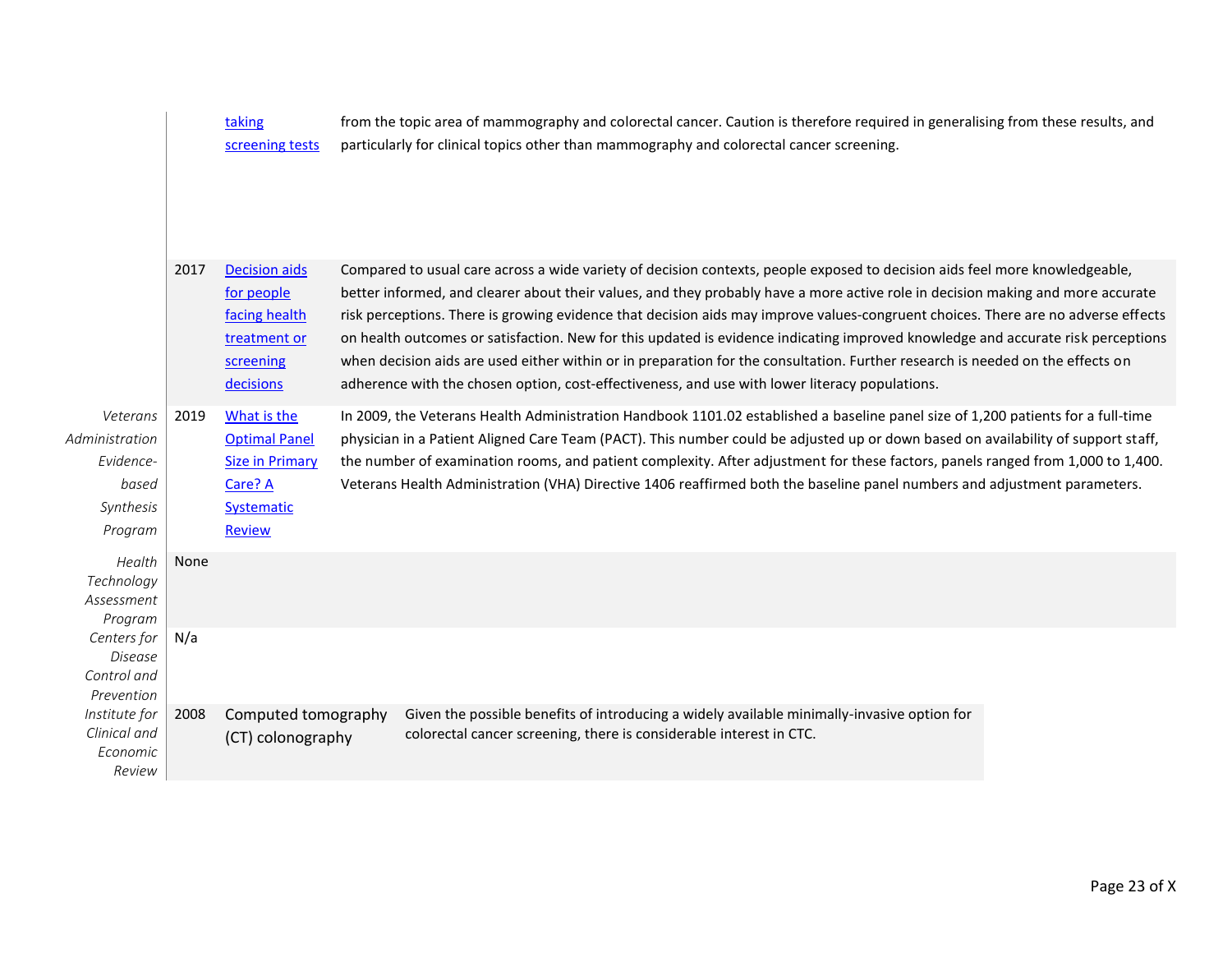|                                                                          |      | taking<br>screening tests                                                                               | from the topic area of mammography and colorectal cancer. Caution is therefore required in generalising from these results, and<br>particularly for clinical topics other than mammography and colorectal cancer screening.                                                                                                                                                                                                                                                                                                                                                                                                                                                                                                                                                 |  |
|--------------------------------------------------------------------------|------|---------------------------------------------------------------------------------------------------------|-----------------------------------------------------------------------------------------------------------------------------------------------------------------------------------------------------------------------------------------------------------------------------------------------------------------------------------------------------------------------------------------------------------------------------------------------------------------------------------------------------------------------------------------------------------------------------------------------------------------------------------------------------------------------------------------------------------------------------------------------------------------------------|--|
|                                                                          | 2017 | <b>Decision aids</b><br>for people<br>facing health<br>treatment or<br>screening<br>decisions           | Compared to usual care across a wide variety of decision contexts, people exposed to decision aids feel more knowledgeable,<br>better informed, and clearer about their values, and they probably have a more active role in decision making and more accurate<br>risk perceptions. There is growing evidence that decision aids may improve values-congruent choices. There are no adverse effects<br>on health outcomes or satisfaction. New for this updated is evidence indicating improved knowledge and accurate risk perceptions<br>when decision aids are used either within or in preparation for the consultation. Further research is needed on the effects on<br>adherence with the chosen option, cost-effectiveness, and use with lower literacy populations. |  |
| Veterans<br>Administration<br>Evidence-<br>based<br>Synthesis<br>Program | 2019 | What is the<br><b>Optimal Panel</b><br><b>Size in Primary</b><br>Care? A<br>Systematic<br><b>Review</b> | In 2009, the Veterans Health Administration Handbook 1101.02 established a baseline panel size of 1,200 patients for a full-time<br>physician in a Patient Aligned Care Team (PACT). This number could be adjusted up or down based on availability of support staff,<br>the number of examination rooms, and patient complexity. After adjustment for these factors, panels ranged from 1,000 to 1,400.<br>Veterans Health Administration (VHA) Directive 1406 reaffirmed both the baseline panel numbers and adjustment parameters.                                                                                                                                                                                                                                       |  |
| Health<br>Technology<br>Assessment<br>Program                            | None |                                                                                                         |                                                                                                                                                                                                                                                                                                                                                                                                                                                                                                                                                                                                                                                                                                                                                                             |  |
| Centers for<br>Disease<br>Control and<br>Prevention                      | N/a  |                                                                                                         |                                                                                                                                                                                                                                                                                                                                                                                                                                                                                                                                                                                                                                                                                                                                                                             |  |
| Institute for<br>Clinical and<br>Economic<br>Review                      | 2008 | Computed tomography<br>(CT) colonography                                                                | Given the possible benefits of introducing a widely available minimally-invasive option for<br>colorectal cancer screening, there is considerable interest in CTC.                                                                                                                                                                                                                                                                                                                                                                                                                                                                                                                                                                                                          |  |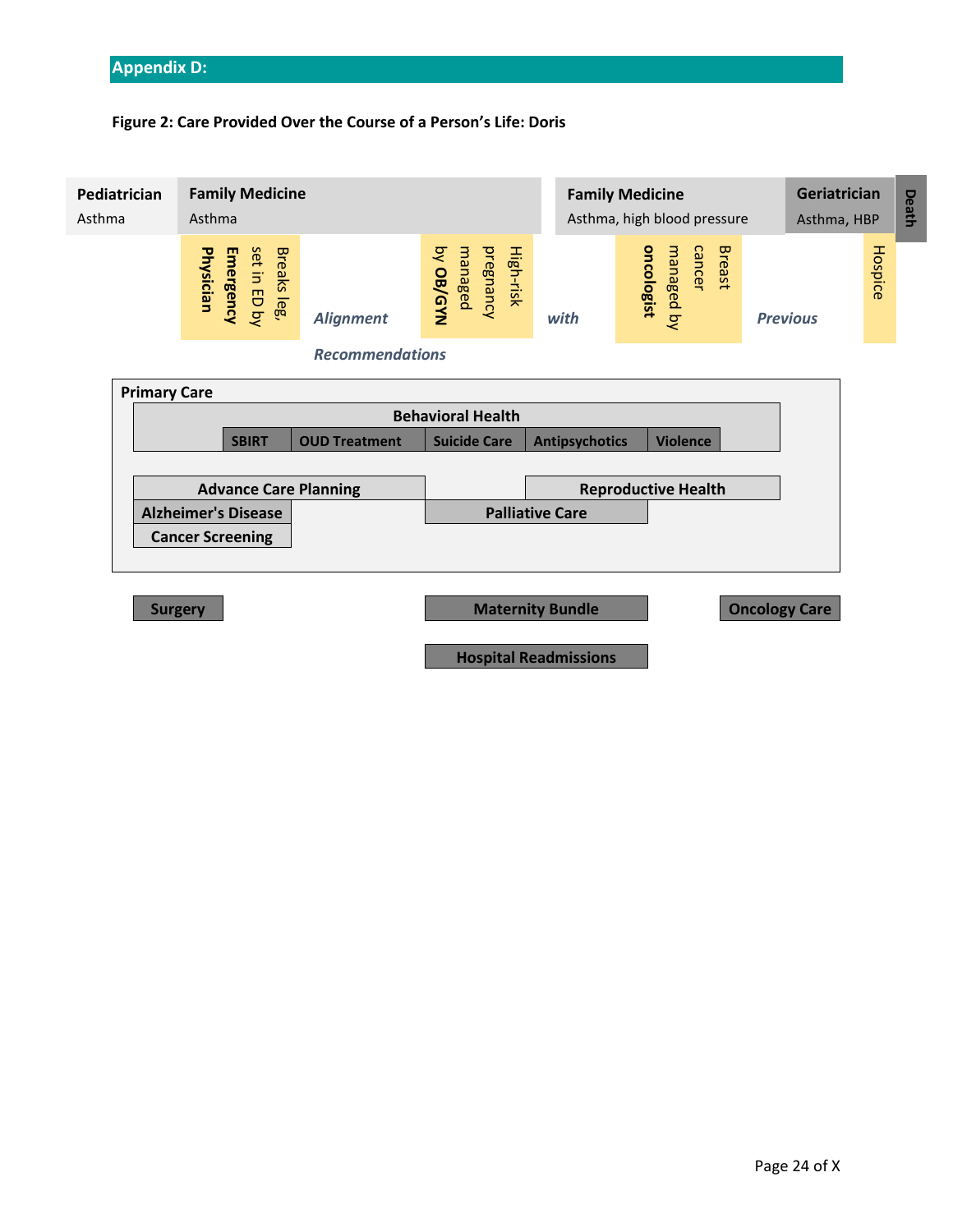# <span id="page-24-0"></span>**Appendix D:**

# **Figure 2: Care Provided Over the Course of a Person's Life: Doris**

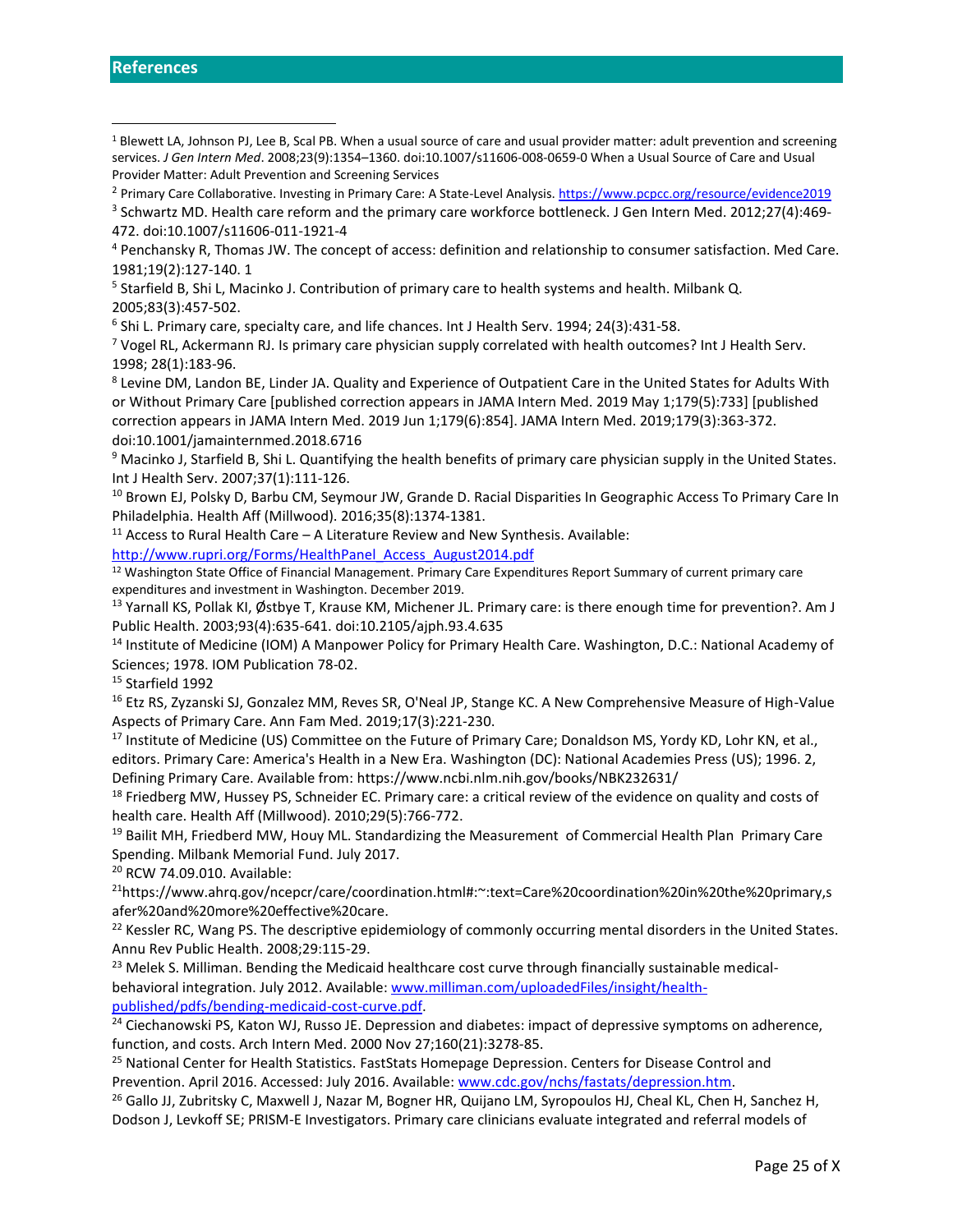<sup>4</sup> Penchansky R, Thomas JW. The concept of access: definition and relationship to consumer satisfaction. Med Care. 1981;19(2):127‐140. 1

<sup>5</sup> Starfield B, Shi L, Macinko J. Contribution of primary care to health systems and health. Milbank Q.

2005;83(3):457‐502.

6 Shi L. Primary care, specialty care, and life chances. Int J Health Serv. 1994; 24(3):431-58.

 $7$  Vogel RL, Ackermann RJ. Is primary care physician supply correlated with health outcomes? Int J Health Serv. 1998; 28(1):183-96.

<sup>8</sup> Levine DM, Landon BE, Linder JA. Quality and Experience of Outpatient Care in the United States for Adults With or Without Primary Care [published correction appears in JAMA Intern Med. 2019 May 1;179(5):733] [published correction appears in JAMA Intern Med. 2019 Jun 1;179(6):854]. JAMA Intern Med. 2019;179(3):363‐372. doi:10.1001/jamainternmed.2018.6716

<sup>9</sup> Macinko J, Starfield B, Shi L. Quantifying the health benefits of primary care physician supply in the United States. Int J Health Serv. 2007;37(1):111‐126.

<sup>10</sup> Brown EJ, Polsky D, Barbu CM, Seymour JW, Grande D. Racial Disparities In Geographic Access To Primary Care In Philadelphia. Health Aff (Millwood). 2016;35(8):1374‐1381.

 $11$  Access to Rural Health Care – A Literature Review and New Synthesis. Available:

[http://www.rupri.org/Forms/HealthPanel\\_Access\\_August2014.pdf](http://www.rupri.org/Forms/HealthPanel_Access_August2014.pdf)

<sup>12</sup> Washington State Office of Financial Management. Primary Care Expenditures Report Summary of current primary care expenditures and investment in Washington. December 2019.

13 Yarnall KS, Pollak KI, Østbye T, Krause KM, Michener JL. Primary care: is there enough time for prevention?. Am J Public Health. 2003;93(4):635-641. doi:10.2105/ajph.93.4.635

<sup>14</sup> Institute of Medicine (IOM) A Manpower Policy for Primary Health Care. Washington, D.C.: National Academy of Sciences; 1978. IOM Publication 78-02.

<sup>15</sup> Starfield 1992

<sup>16</sup> Etz RS, Zyzanski SJ, Gonzalez MM, Reves SR, O'Neal JP, Stange KC. A New Comprehensive Measure of High-Value Aspects of Primary Care. Ann Fam Med. 2019;17(3):221‐230.

<sup>17</sup> Institute of Medicine (US) Committee on the Future of Primary Care; Donaldson MS, Yordy KD, Lohr KN, et al., editors. Primary Care: America's Health in a New Era. Washington (DC): National Academies Press (US); 1996. 2, Defining Primary Care. Available from: https://www.ncbi.nlm.nih.gov/books/NBK232631/

 $18$  Friedberg MW, Hussey PS, Schneider EC. Primary care: a critical review of the evidence on quality and costs of health care. Health Aff (Millwood). 2010;29(5):766‐772.

<sup>19</sup> Bailit MH, Friedberd MW, Houy ML. Standardizing the Measurement of Commercial Health Plan Primary Care Spending. Milbank Memorial Fund. July 2017.

<sup>20</sup> RCW 74.09.010. Available:

<sup>21</sup>https://www.ahrq.gov/ncepcr/care/coordination.html#:~:text=Care%20coordination%20in%20the%20primary,s afer%20and%20more%20effective%20care.

<sup>22</sup> Kessler RC, Wang PS. The descriptive epidemiology of commonly occurring mental disorders in the United States. Annu Rev Public Health. 2008;29:115-29.

<sup>23</sup> Melek S. Milliman. Bending the Medicaid healthcare cost curve through financially sustainable medicalbehavioral integration. July 2012. Available[: www.milliman.com/uploadedFiles/insight/health](http://www.milliman.com/uploadedFiles/insight/health-published/pdfs/bending-medicaid-cost-curve.pdf)[published/pdfs/bending-medicaid-cost-curve.pdf.](http://www.milliman.com/uploadedFiles/insight/health-published/pdfs/bending-medicaid-cost-curve.pdf)

<sup>24</sup> Ciechanowski PS, Katon WJ, Russo JE. Depression and diabetes: impact of depressive symptoms on adherence, function, and costs. Arch Intern Med. 2000 Nov 27;160(21):3278-85.

<sup>25</sup> National Center for Health Statistics. FastStats Homepage Depression. Centers for Disease Control and Prevention. April 2016. Accessed: July 2016. Available[: www.cdc.gov/nchs/fastats/depression.htm.](http://www.cdc.gov/nchs/fastats/depression.htm) 

<sup>26</sup> Gallo JJ, Zubritsky C, Maxwell J, Nazar M, Bogner HR, Quijano LM, Syropoulos HJ, Cheal KL, Chen H, Sanchez H, Dodson J, Levkoff SE; PRISM-E Investigators. Primary care clinicians evaluate integrated and referral models of

<span id="page-25-0"></span><sup>&</sup>lt;sup>1</sup> Blewett LA, Johnson PJ, Lee B, Scal PB. When a usual source of care and usual provider matter: adult prevention and screening services. *J Gen Intern Med*. 2008;23(9):1354–1360. doi:10.1007/s11606-008-0659-0 When a Usual Source of Care and Usual Provider Matter: Adult Prevention and Screening Services

<sup>&</sup>lt;sup>2</sup> Primary Care Collaborative. Investing in Primary Care: A State-Level Analysis.<https://www.pcpcc.org/resource/evidence2019>

<sup>3</sup> Schwartz MD. Health care reform and the primary care workforce bottleneck. J Gen Intern Med. 2012;27(4):469‐ 472. doi:10.1007/s11606-011-1921-4